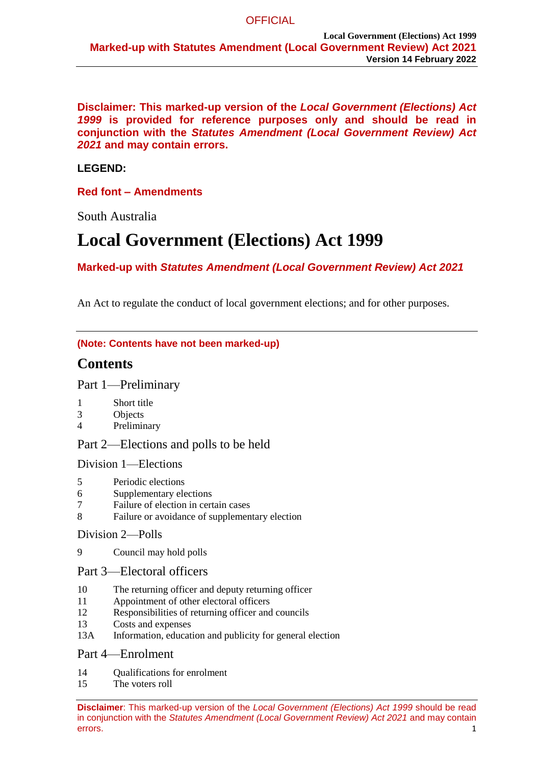**Disclaimer: This marked-up version of the** *Local Government (Elections) Act 1999* **is provided for reference purposes only and should be read in conjunction with the** *Statutes Amendment (Local Government Review) Act 2021* **and may contain errors.**

# **LEGEND:**

# **Red font – Amendments**

South Australia

# **Local Government (Elections) Act 1999**

**Marked-up with** *Statutes Amendment (Local Government Review) Act 2021*

An Act to regulate the conduct of local government elections; and for other purposes.

### **(Note: Contents have not been marked-up)**

# **Contents**

Part 1—Preliminary

- 1 Short title<br>3 Objects
- **Objects**
- 4 Preliminary

Part 2—Elections and polls to be held

Division 1—Elections

- 5 Periodic elections
- 6 Supplementary elections
- 7 Failure of election in certain cases
- 8 Failure or avoidance of supplementary election

# Division 2—Polls

- 9 Council may hold polls
- Part 3—Electoral officers
- 10 The returning officer and deputy returning officer
- 11 Appointment of other electoral officers
- 12 Responsibilities of returning officer and councils
- 13 Costs and expenses
- 13A Information, education and publicity for general election

# Part 4—Enrolment

- 14 Qualifications for enrolment
- 15 The voters roll

**Disclaimer**: This marked-up version of the *Local Government (Elections) Act 1999* should be read in conjunction with the *Statutes Amendment (Local Government Review) Act 2021* and may contain errors. The contract of the contract of the contract of the contract of the contract of the contract of the contract of the contract of the contract of the contract of the contract of the contract of the contract of the co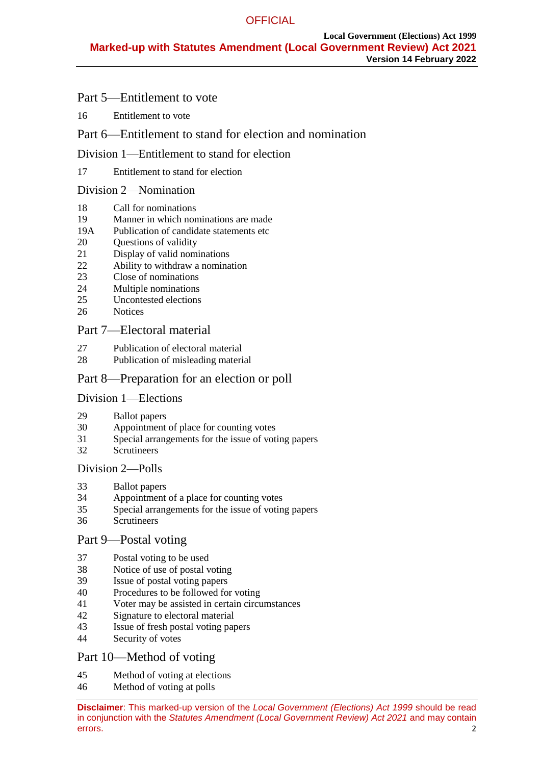# Part 5—Entitlement to vote

16 Entitlement to vote

# Part 6—Entitlement to stand for election and nomination

# Division 1—Entitlement to stand for election

# 17 Entitlement to stand for election

# Division 2—Nomination

- 18 Call for nominations
- 19 Manner in which nominations are made
- 19A Publication of candidate statements etc
- 20 Questions of validity<br>21 Display of valid nom
- Display of valid nominations
- 22 Ability to withdraw a nomination<br>23 Close of nominations
- Close of nominations
- 24 Multiple nominations
- 25 Uncontested elections
- 26 Notices

# Part 7—Electoral material

- 27 Publication of electoral material
- 28 Publication of misleading material

# Part 8—Preparation for an election or poll

# Division 1—Elections

- 29 Ballot papers<br>30 Appointment
- Appointment of place for counting votes
- 31 Special arrangements for the issue of voting papers
- 32 Scrutineers

# Division 2—Polls

- 33 Ballot papers
- 34 Appointment of a place for counting votes
- 35 Special arrangements for the issue of voting papers
- 36 Scrutineers

# Part 9—Postal voting

- 37 Postal voting to be used
- 38 Notice of use of postal voting<br>39 Issue of postal voting papers
- Issue of postal voting papers
- 40 Procedures to be followed for voting
- 41 Voter may be assisted in certain circumstances
- 42 Signature to electoral material
- 43 Issue of fresh postal voting papers
- 44 Security of votes

# Part 10—Method of voting

- 45 Method of voting at elections
- 46 Method of voting at polls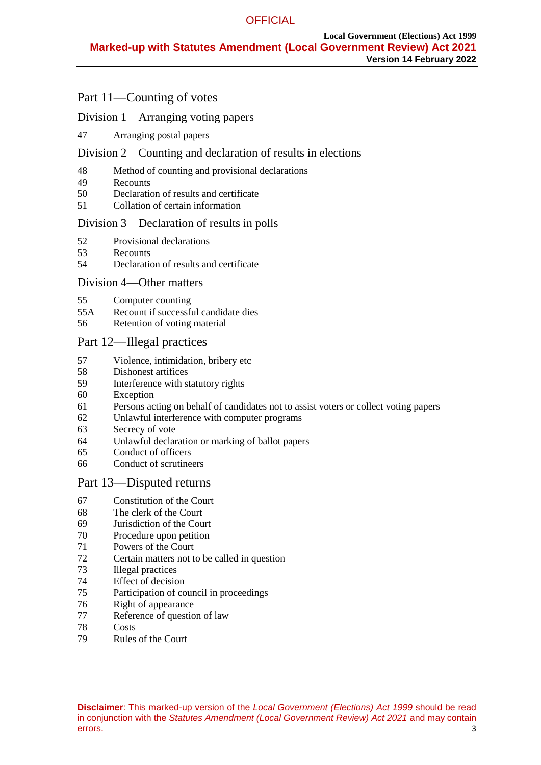# Part 11—Counting of votes

# Division 1—Arranging voting papers

Arranging postal papers

# Division 2—Counting and declaration of results in elections

- Method of counting and provisional declarations
- Recounts
- Declaration of results and certificate
- Collation of certain information

# Division 3—Declaration of results in polls

- 52 Provisional declarations<br>53 Recounts
- **Recounts**
- Declaration of results and certificate

# Division 4—Other matters

- Computer counting
- 55A Recount if successful candidate dies
- Retention of voting material

# Part 12—Illegal practices

- Violence, intimidation, bribery etc
- 58 Dishonest artifices<br>59 Interference with st
- Interference with statutory rights
- Exception
- Persons acting on behalf of candidates not to assist voters or collect voting papers
- Unlawful interference with computer programs
- Secrecy of vote
- Unlawful declaration or marking of ballot papers
- Conduct of officers
- Conduct of scrutineers

# Part 13—Disputed returns

- Constitution of the Court
- The clerk of the Court
- Jurisdiction of the Court
- Procedure upon petition
- Powers of the Court
- Certain matters not to be called in question
- Illegal practices
- Effect of decision
- Participation of council in proceedings
- Right of appearance
- Reference of question of law
- Costs
- Rules of the Court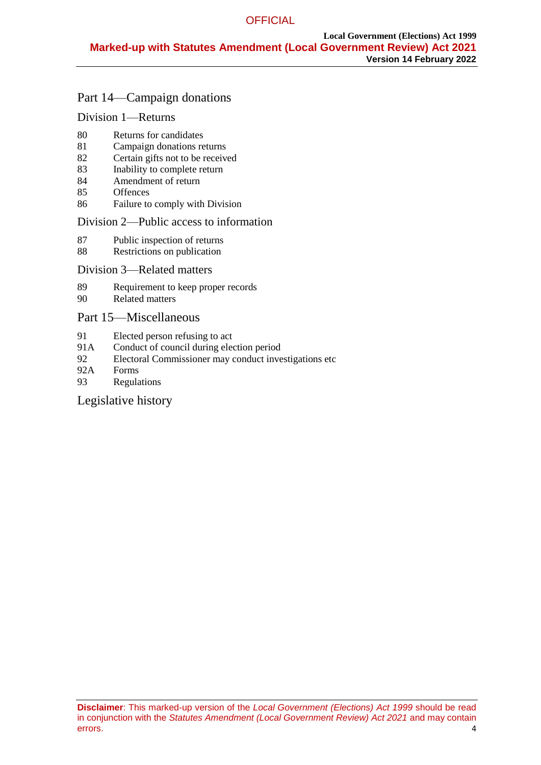# Part 14—Campaign donations

# Division 1—Returns

- 80 Returns for candidates
- 81 Campaign donations returns
- 82 Certain gifts not to be received
- 83 Inability to complete return
- 84 Amendment of return
- 85 Offences
- 86 Failure to comply with Division

#### Division 2—Public access to information

- 87 Public inspection of returns
- 88 Restrictions on publication

### Division 3—Related matters

- 89 Requirement to keep proper records
- 90 Related matters

# Part 15—Miscellaneous

- 91 Elected person refusing to act
- 91A Conduct of council during election period
- 92 Electoral Commissioner may conduct investigations etc
- 92A Forms
- 93 Regulations

# Legislative history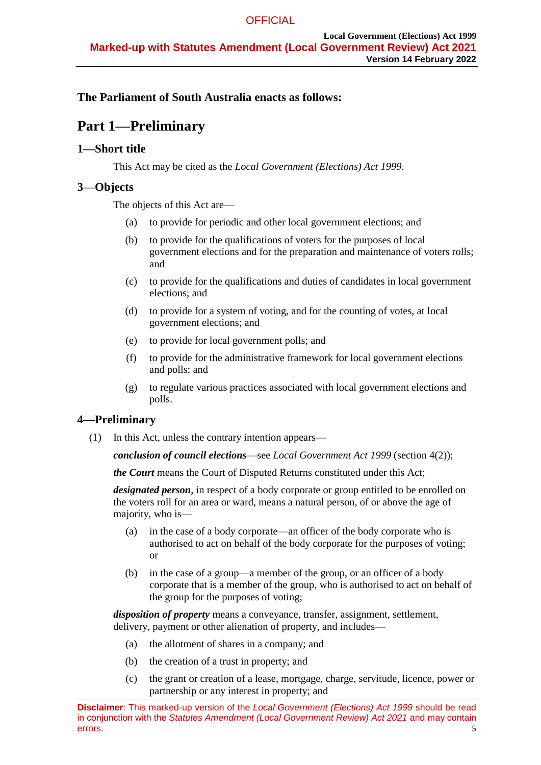# **The Parliament of South Australia enacts as follows:**

# **Part 1—Preliminary**

# **1—Short title**

This Act may be cited as the *Local Government (Elections) Act 1999*.

# **3—Objects**

The objects of this Act are—

- (a) to provide for periodic and other local government elections; and
- (b) to provide for the qualifications of voters for the purposes of local government elections and for the preparation and maintenance of voters rolls; and
- (c) to provide for the qualifications and duties of candidates in local government elections; and
- (d) to provide for a system of voting, and for the counting of votes, at local government elections; and
- (e) to provide for local government polls; and
- (f) to provide for the administrative framework for local government elections and polls; and
- (g) to regulate various practices associated with local government elections and polls.

# **4—Preliminary**

(1) In this Act, unless the contrary intention appears—

*conclusion of council elections*—see *[Local Government Act](http://www.legislation.sa.gov.au/index.aspx?action=legref&type=act&legtitle=Local%20Government%20Act%201999) 1999* [\(section](#page-6-0) 4(2));

*the Court* means the Court of Disputed Returns constituted under this Act;

*designated person*, in respect of a body corporate or group entitled to be enrolled on the voters roll for an area or ward, means a natural person, of or above the age of majority, who is—

- (a) in the case of a body corporate—an officer of the body corporate who is authorised to act on behalf of the body corporate for the purposes of voting; or
- (b) in the case of a group—a member of the group, or an officer of a body corporate that is a member of the group, who is authorised to act on behalf of the group for the purposes of voting;

*disposition of property* means a conveyance, transfer, assignment, settlement, delivery, payment or other alienation of property, and includes—

- (a) the allotment of shares in a company; and
- (b) the creation of a trust in property; and
- (c) the grant or creation of a lease, mortgage, charge, servitude, licence, power or partnership or any interest in property; and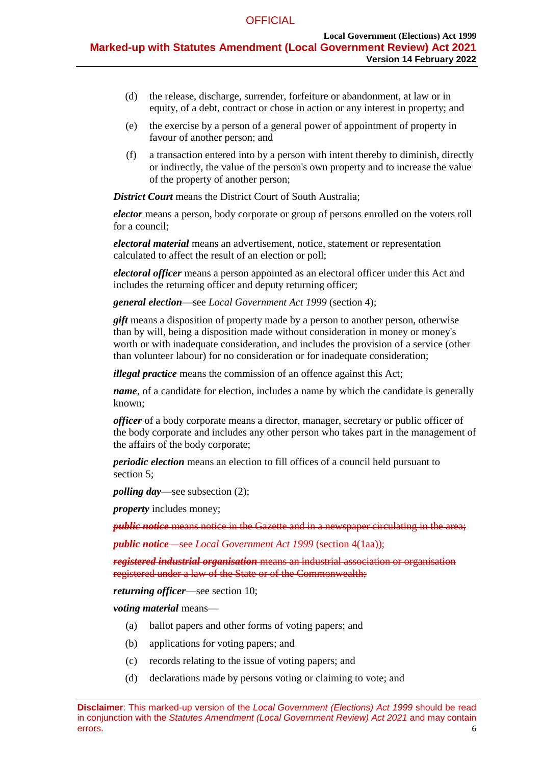- (d) the release, discharge, surrender, forfeiture or abandonment, at law or in equity, of a debt, contract or chose in action or any interest in property; and
- (e) the exercise by a person of a general power of appointment of property in favour of another person; and
- (f) a transaction entered into by a person with intent thereby to diminish, directly or indirectly, the value of the person's own property and to increase the value of the property of another person;

*District Court* means the District Court of South Australia;

*elector* means a person, body corporate or group of persons enrolled on the voters roll for a council;

*electoral material* means an advertisement, notice, statement or representation calculated to affect the result of an election or poll;

*electoral officer* means a person appointed as an electoral officer under this Act and includes the returning officer and deputy returning officer;

*general election*—see *[Local Government Act](http://www.legislation.sa.gov.au/index.aspx?action=legref&type=act&legtitle=Local%20Government%20Act%201999) 1999* (section 4);

*gift* means a disposition of property made by a person to another person, otherwise than by will, being a disposition made without consideration in money or money's worth or with inadequate consideration, and includes the provision of a service (other than volunteer labour) for no consideration or for inadequate consideration;

*illegal practice* means the commission of an offence against this Act;

*name*, of a candidate for election, includes a name by which the candidate is generally known;

*officer* of a body corporate means a director, manager, secretary or public officer of the body corporate and includes any other person who takes part in the management of the affairs of the body corporate;

*periodic election* means an election to fill offices of a council held pursuant to section 5;

*polling day*—see [subsection](#page-6-0) (2);

*property* includes money;

*public notice* means notice in the Gazette and in a newspaper circulating in the area;

*public notice*—see *Local Government Act 1999* (section 4(1aa));

*registered industrial organisation* means an industrial association or organisation registered under a law of the State or of the Commonwealth;

*returning officer*—see [section](#page-11-0) 10;

*voting material* means—

- (a) ballot papers and other forms of voting papers; and
- (b) applications for voting papers; and
- (c) records relating to the issue of voting papers; and
- (d) declarations made by persons voting or claiming to vote; and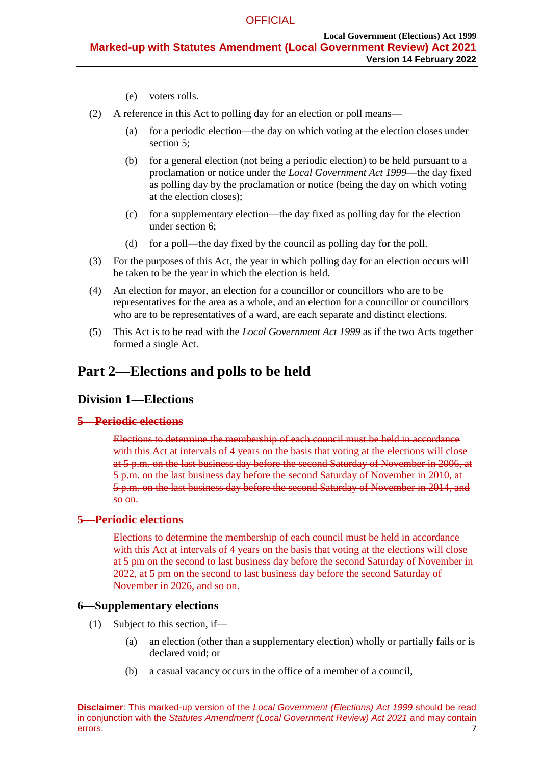- (e) voters rolls.
- <span id="page-6-0"></span>(2) A reference in this Act to polling day for an election or poll means—
	- (a) for a periodic election—the day on which voting at the election closes under section 5;
	- (b) for a general election (not being a periodic election) to be held pursuant to a proclamation or notice under the *[Local Government Act](http://www.legislation.sa.gov.au/index.aspx?action=legref&type=act&legtitle=Local%20Government%20Act%201999) 1999*—the day fixed as polling day by the proclamation or notice (being the day on which voting at the election closes);
	- (c) for a supplementary election—the day fixed as polling day for the election under [section](#page-6-1) 6;
	- (d) for a poll—the day fixed by the council as polling day for the poll.
- (3) For the purposes of this Act, the year in which polling day for an election occurs will be taken to be the year in which the election is held.
- (4) An election for mayor, an election for a councillor or councillors who are to be representatives for the area as a whole, and an election for a councillor or councillors who are to be representatives of a ward, are each separate and distinct elections.
- (5) This Act is to be read with the *[Local Government Act](http://www.legislation.sa.gov.au/index.aspx?action=legref&type=act&legtitle=Local%20Government%20Act%201999) 1999* as if the two Acts together formed a single Act.

# <span id="page-6-2"></span>**Part 2—Elections and polls to be held**

# **Division 1—Elections**

#### **5—Periodic elections**

Elections to determine the membership of each council must be held in accordance with this Act at intervals of 4 years on the basis that voting at the elections will close at 5 p.m. on the last business day before the second Saturday of November in 2006, at 5 p.m. on the last business day before the second Saturday of November in 2010, at 5 p.m. on the last business day before the second Saturday of November in 2014, and so on.

#### **5—Periodic elections**

Elections to determine the membership of each council must be held in accordance with this Act at intervals of 4 years on the basis that voting at the elections will close at 5 pm on the second to last business day before the second Saturday of November in 2022, at 5 pm on the second to last business day before the second Saturday of November in 2026, and so on.

## <span id="page-6-1"></span>**6—Supplementary elections**

- (1) Subject to this section, if—
	- (a) an election (other than a supplementary election) wholly or partially fails or is declared void; or
	- (b) a casual vacancy occurs in the office of a member of a council,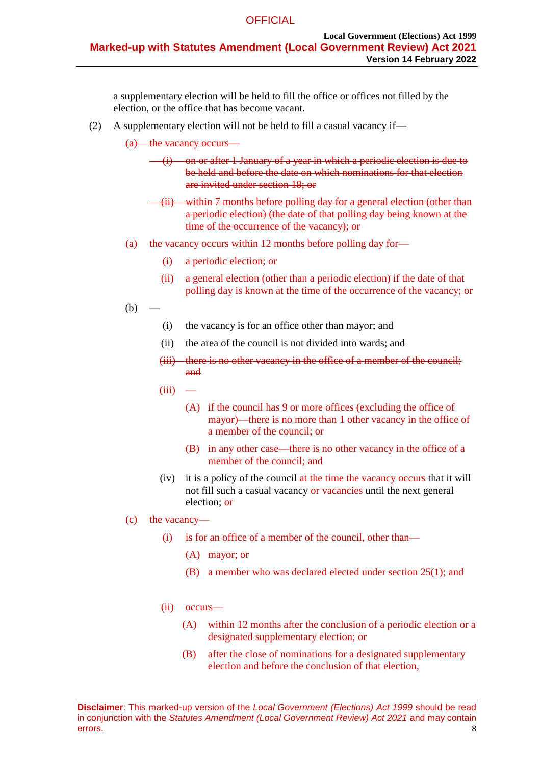a supplementary election will be held to fill the office or offices not filled by the election, or the office that has become vacant.

(2) A supplementary election will not be held to fill a casual vacancy if—

(a) the vacancy occurs—

- (i) on or after 1 January of a year in which a periodic election is due to be held and before the date on which nominations for that election are invited under [section](#page-20-0) 18; or
- (ii) within 7 months before polling day for a general election (other than a periodic election) (the date of that polling day being known at the time of the occurrence of the vacancy); or
- (a) the vacancy occurs within 12 months before polling day for—
	- (i) a periodic election; or
	- (ii) a general election (other than a periodic election) if the date of that polling day is known at the time of the occurrence of the vacancy; or

<span id="page-7-0"></span> $(b)$ 

- (i) the vacancy is for an office other than mayor; and
- (ii) the area of the council is not divided into wards; and
- (iii) there is no other vacancy in the office of a member of the council; and
- $(iii)$ 
	- (A) if the council has 9 or more offices (excluding the office of mayor)—there is no more than 1 other vacancy in the office of a member of the council; or
	- (B) in any other case—there is no other vacancy in the office of a member of the council; and
- (iv) it is a policy of the council at the time the vacancy occurs that it will not fill such a casual vacancy or vacancies until the next general election; or
- (c) the vacancy—
	- (i) is for an office of a member of the council, other than—
		- (A) mayor; or
		- (B) a member who was declared elected under section 25(1); and
	- (ii) occurs—
		- (A) within 12 months after the conclusion of a periodic election or a designated supplementary election; or
		- (B) after the close of nominations for a designated supplementary election and before the conclusion of that election,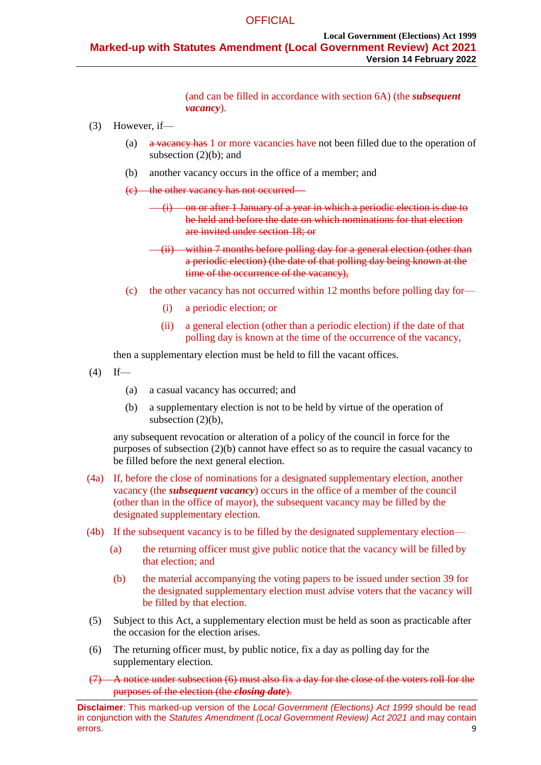(and can be filled in accordance with section 6A) (the *subsequent vacancy*).

- (3) However, if—
	- (a) a vacancy has 1 or more vacancies have not been filled due to the operation of [subsection](#page-7-0)  $(2)(b)$ ; and
	- (b) another vacancy occurs in the office of a member; and
	- (c) the other vacancy has not occurred—
		- (i) on or after 1 January of a year in which a periodic election is due to be held and before the date on which nominations for that election are invited under [section](#page-20-0) 18; or
		- (ii) within 7 months before polling day for a general election (other than a periodic election) (the date of that polling day being known at the time of the occurrence of the vacancy),
	- (c) the other vacancy has not occurred within 12 months before polling day for—
		- (i) a periodic election; or
		- (ii) a general election (other than a periodic election) if the date of that polling day is known at the time of the occurrence of the vacancy,

then a supplementary election must be held to fill the vacant offices.

- $(4)$  If—
	- (a) a casual vacancy has occurred; and
	- (b) a supplementary election is not to be held by virtue of the operation of [subsection](#page-7-0)  $(2)(b)$ ,

any subsequent revocation or alteration of a policy of the council in force for the purposes of [subsection](#page-7-0) (2)(b) cannot have effect so as to require the casual vacancy to be filled before the next general election.

- (4a) If, before the close of nominations for a designated supplementary election, another vacancy (the *subsequent vacancy*) occurs in the office of a member of the council (other than in the office of mayor), the subsequent vacancy may be filled by the designated supplementary election.
- (4b) If the subsequent vacancy is to be filled by the designated supplementary election—
	- (a) the returning officer must give public notice that the vacancy will be filled by that election; and
	- (b) the material accompanying the voting papers to be issued under section 39 for the designated supplementary election must advise voters that the vacancy will be filled by that election.
- (5) Subject to this Act, a supplementary election must be held as soon as practicable after the occasion for the election arises.
- <span id="page-8-0"></span>(6) The returning officer must, by public notice, fix a day as polling day for the supplementary election.
- (7) A notice under [subsection](#page-8-0) (6) must also fix a day for the close of the voters roll for the purposes of the election (the *closing date*).

**Disclaimer**: This marked-up version of the *Local Government (Elections) Act 1999* should be read in conjunction with the *Statutes Amendment (Local Government Review) Act 2021* and may contain errors. 99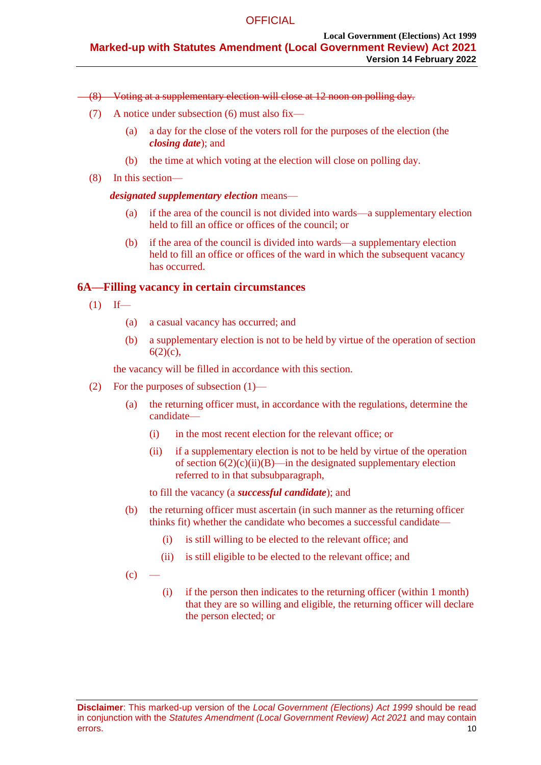#### (8) Voting at a supplementary election will close at 12 noon on polling day.

- (7) A notice under subsection (6) must also fix—
	- (a) a day for the close of the voters roll for the purposes of the election (the *closing date*); and
	- (b) the time at which voting at the election will close on polling day.
- (8) In this section—

### *designated supplementary election* means—

- (a) if the area of the council is not divided into wards—a supplementary election held to fill an office or offices of the council; or
- (b) if the area of the council is divided into wards—a supplementary election held to fill an office or offices of the ward in which the subsequent vacancy has occurred.

# **6A—Filling vacancy in certain circumstances**

- $(1)$  If—
	- (a) a casual vacancy has occurred; and
	- (b) a supplementary election is not to be held by virtue of the operation of section 6(2)(c),

the vacancy will be filled in accordance with this section.

- (2) For the purposes of subsection (1)—
	- (a) the returning officer must, in accordance with the regulations, determine the candidate—
		- (i) in the most recent election for the relevant office; or
		- (ii) if a supplementary election is not to be held by virtue of the operation of section  $6(2)(c)(ii)(B)$ —in the designated supplementary election referred to in that subsubparagraph,
		- to fill the vacancy (a *successful candidate*); and
	- (b) the returning officer must ascertain (in such manner as the returning officer thinks fit) whether the candidate who becomes a successful candidate—
		- (i) is still willing to be elected to the relevant office; and
		- (ii) is still eligible to be elected to the relevant office; and
	- $(c)$  —
- (i) if the person then indicates to the returning officer (within 1 month) that they are so willing and eligible, the returning officer will declare the person elected; or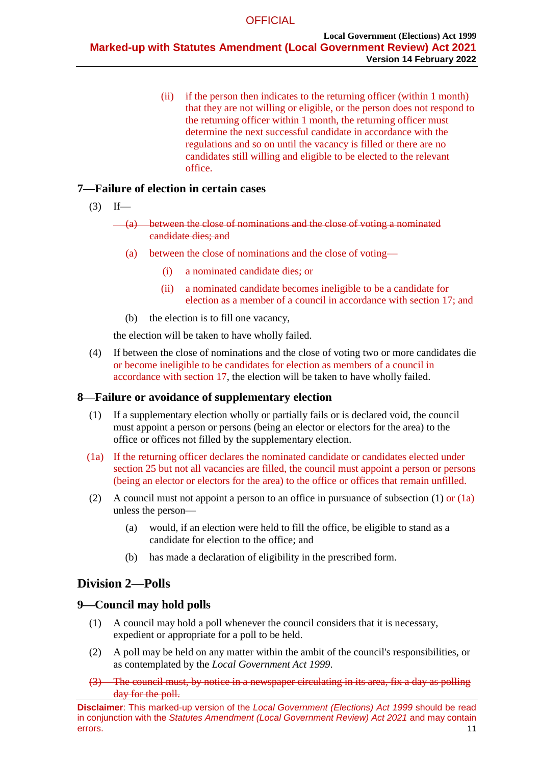(ii) if the person then indicates to the returning officer (within 1 month) that they are not willing or eligible, or the person does not respond to the returning officer within 1 month, the returning officer must determine the next successful candidate in accordance with the regulations and so on until the vacancy is filled or there are no candidates still willing and eligible to be elected to the relevant office.

# **7—Failure of election in certain cases**

- $(3)$  If—
	- (a) between the close of nominations and the close of voting a nominated candidate dies; and
		- (a) between the close of nominations and the close of voting—
			- (i) a nominated candidate dies; or
			- (ii) a nominated candidate becomes ineligible to be a candidate for election as a member of a council in accordance with section 17; and
		- (b) the election is to fill one vacancy,

the election will be taken to have wholly failed.

(4) If between the close of nominations and the close of voting two or more candidates die or become ineligible to be candidates for election as members of a council in accordance with section 17, the election will be taken to have wholly failed.

# <span id="page-10-0"></span>**8—Failure or avoidance of supplementary election**

- (1) If a supplementary election wholly or partially fails or is declared void, the council must appoint a person or persons (being an elector or electors for the area) to the office or offices not filled by the supplementary election.
- (1a) If the returning officer declares the nominated candidate or candidates elected under section 25 but not all vacancies are filled, the council must appoint a person or persons (being an elector or electors for the area) to the office or offices that remain unfilled.
- (2) A council must not appoint a person to an office in pursuance of [subsection](#page-10-0) (1) or (1a) unless the person—
	- (a) would, if an election were held to fill the office, be eligible to stand as a candidate for election to the office; and
	- (b) has made a declaration of eligibility in the prescribed form.

# **Division 2—Polls**

# **9—Council may hold polls**

- (1) A council may hold a poll whenever the council considers that it is necessary, expedient or appropriate for a poll to be held.
- (2) A poll may be held on any matter within the ambit of the council's responsibilities, or as contemplated by the *[Local Government Act](http://www.legislation.sa.gov.au/index.aspx?action=legref&type=act&legtitle=Local%20Government%20Act%201999) 1999*.
- <span id="page-10-1"></span>(3) The council must, by notice in a newspaper circulating in its area, fix a day as polling day for the poll.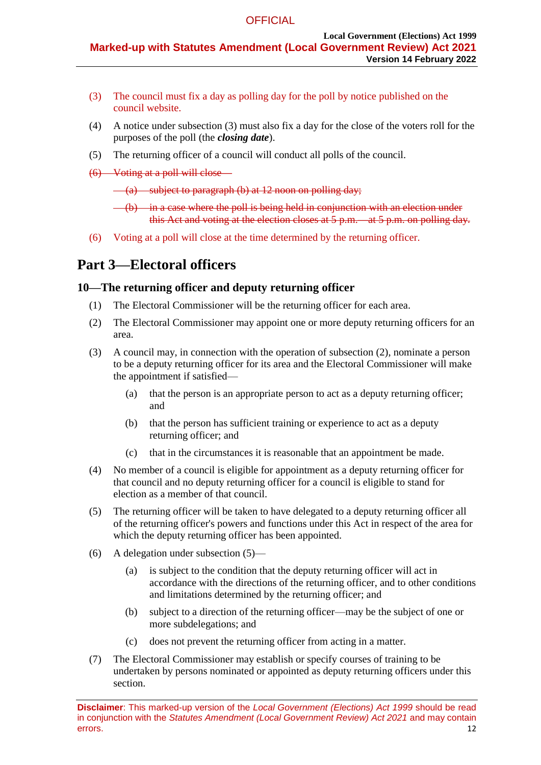- (3) The council must fix a day as polling day for the poll by notice published on the council website.
- (4) A notice under [subsection](#page-10-1) (3) must also fix a day for the close of the voters roll for the purposes of the poll (the *closing date*).
- (5) The returning officer of a council will conduct all polls of the council.
- <span id="page-11-1"></span>(6) Voting at a poll will close—

 $(a)$  subject to [paragraph](#page-11-1) (b) at 12 noon on polling day;

(b) in a case where the poll is being held in conjunction with an election under this Act and voting at the election closes at 5 p.m. at 5 p.m. on polling day.

(6) Voting at a poll will close at the time determined by the returning officer.

# **Part 3—Electoral officers**

# <span id="page-11-0"></span>**10—The returning officer and deputy returning officer**

- (1) The Electoral Commissioner will be the returning officer for each area.
- <span id="page-11-2"></span>(2) The Electoral Commissioner may appoint one or more deputy returning officers for an area.
- (3) A council may, in connection with the operation of [subsection](#page-11-2) (2), nominate a person to be a deputy returning officer for its area and the Electoral Commissioner will make the appointment if satisfied—
	- (a) that the person is an appropriate person to act as a deputy returning officer; and
	- (b) that the person has sufficient training or experience to act as a deputy returning officer; and
	- (c) that in the circumstances it is reasonable that an appointment be made.
- (4) No member of a council is eligible for appointment as a deputy returning officer for that council and no deputy returning officer for a council is eligible to stand for election as a member of that council.
- <span id="page-11-3"></span>(5) The returning officer will be taken to have delegated to a deputy returning officer all of the returning officer's powers and functions under this Act in respect of the area for which the deputy returning officer has been appointed.
- (6) A delegation under [subsection](#page-11-3) (5)—
	- (a) is subject to the condition that the deputy returning officer will act in accordance with the directions of the returning officer, and to other conditions and limitations determined by the returning officer; and
	- (b) subject to a direction of the returning officer—may be the subject of one or more subdelegations; and
	- (c) does not prevent the returning officer from acting in a matter.
- (7) The Electoral Commissioner may establish or specify courses of training to be undertaken by persons nominated or appointed as deputy returning officers under this section.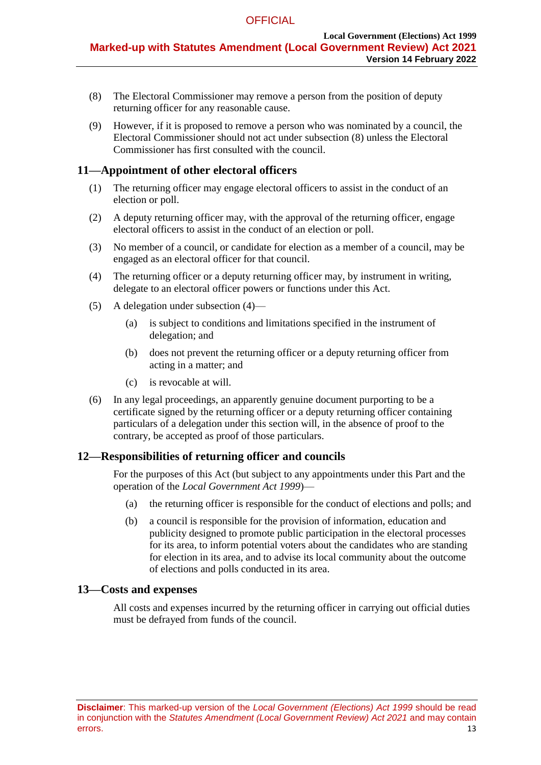- <span id="page-12-0"></span>(8) The Electoral Commissioner may remove a person from the position of deputy returning officer for any reasonable cause.
- (9) However, if it is proposed to remove a person who was nominated by a council, the Electoral Commissioner should not act under [subsection](#page-12-0) (8) unless the Electoral Commissioner has first consulted with the council.

# **11—Appointment of other electoral officers**

- (1) The returning officer may engage electoral officers to assist in the conduct of an election or poll.
- (2) A deputy returning officer may, with the approval of the returning officer, engage electoral officers to assist in the conduct of an election or poll.
- (3) No member of a council, or candidate for election as a member of a council, may be engaged as an electoral officer for that council.
- <span id="page-12-1"></span>(4) The returning officer or a deputy returning officer may, by instrument in writing, delegate to an electoral officer powers or functions under this Act.
- (5) A delegation under [subsection](#page-12-1) (4)—
	- (a) is subject to conditions and limitations specified in the instrument of delegation; and
	- (b) does not prevent the returning officer or a deputy returning officer from acting in a matter; and
	- (c) is revocable at will.
- (6) In any legal proceedings, an apparently genuine document purporting to be a certificate signed by the returning officer or a deputy returning officer containing particulars of a delegation under this section will, in the absence of proof to the contrary, be accepted as proof of those particulars.

# **12—Responsibilities of returning officer and councils**

For the purposes of this Act (but subject to any appointments under this Part and the operation of the *[Local Government](http://www.legislation.sa.gov.au/index.aspx?action=legref&type=act&legtitle=Local%20Government%20Act%201999) Act 1999*)—

- (a) the returning officer is responsible for the conduct of elections and polls; and
- (b) a council is responsible for the provision of information, education and publicity designed to promote public participation in the electoral processes for its area, to inform potential voters about the candidates who are standing for election in its area, and to advise its local community about the outcome of elections and polls conducted in its area.

#### **13—Costs and expenses**

All costs and expenses incurred by the returning officer in carrying out official duties must be defrayed from funds of the council.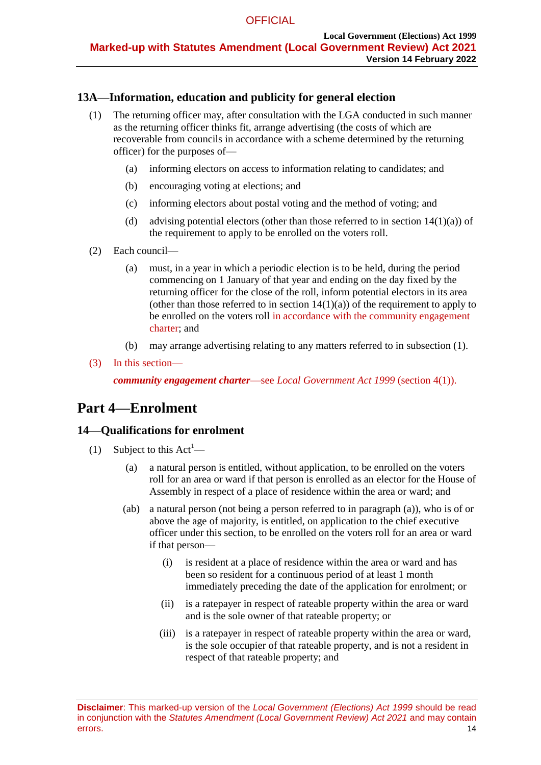# <span id="page-13-1"></span>**13A—Information, education and publicity for general election**

- (1) The returning officer may, after consultation with the LGA conducted in such manner as the returning officer thinks fit, arrange advertising (the costs of which are recoverable from councils in accordance with a scheme determined by the returning officer) for the purposes of—
	- (a) informing electors on access to information relating to candidates; and
	- (b) encouraging voting at elections; and
	- (c) informing electors about postal voting and the method of voting; and
	- (d) advising potential electors (other than those referred to in section  $14(1)(a)$ ) of the requirement to apply to be enrolled on the voters roll.
- (2) Each council—
	- (a) must, in a year in which a periodic election is to be held, during the period commencing on 1 January of that year and ending on the day fixed by the returning officer for the close of the roll, inform potential electors in its area (other than those referred to in section  $14(1)(a)$ ) of the requirement to apply to be enrolled on the voters roll in accordance with the community engagement charter; and
	- (b) may arrange advertising relating to any matters referred to in [subsection](#page-13-1) (1).
- (3) In this section—

*community engagement charter*—see *Local Government Act 1999* (section 4(1)).

# **Part 4—Enrolment**

# <span id="page-13-6"></span><span id="page-13-5"></span>**14—Qualifications for enrolment**

- <span id="page-13-3"></span><span id="page-13-2"></span><span id="page-13-0"></span>(1) Subject to this  $Act^1$ —
	- (a) a natural person is entitled, without application, to be enrolled on the voters roll for an area or ward if that person is enrolled as an elector for the House of Assembly in respect of a place of residence within the area or ward; and
	- (ab) a natural person (not being a person referred to in [paragraph](#page-13-0) (a)), who is of or above the age of majority, is entitled, on application to the chief executive officer under this section, to be enrolled on the voters roll for an area or ward if that person—
		- (i) is resident at a place of residence within the area or ward and has been so resident for a continuous period of at least 1 month immediately preceding the date of the application for enrolment; or
		- (ii) is a ratepayer in respect of rateable property within the area or ward and is the sole owner of that rateable property; or
		- (iii) is a ratepayer in respect of rateable property within the area or ward, is the sole occupier of that rateable property, and is not a resident in respect of that rateable property; and

<span id="page-13-4"></span>**Disclaimer**: This marked-up version of the *Local Government (Elections) Act 1999* should be read in conjunction with the *Statutes Amendment (Local Government Review) Act 2021* and may contain errors. 14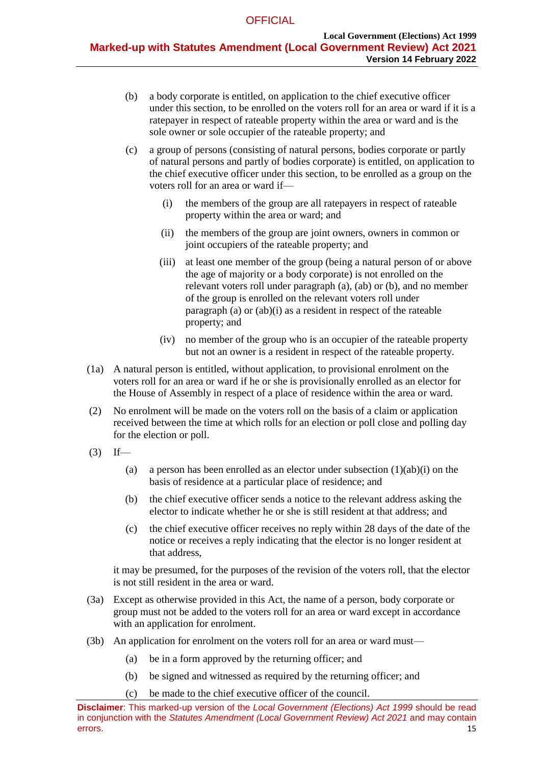- <span id="page-14-0"></span>(b) a body corporate is entitled, on application to the chief executive officer under this section, to be enrolled on the voters roll for an area or ward if it is a ratepayer in respect of rateable property within the area or ward and is the sole owner or sole occupier of the rateable property; and
- <span id="page-14-1"></span>(c) a group of persons (consisting of natural persons, bodies corporate or partly of natural persons and partly of bodies corporate) is entitled, on application to the chief executive officer under this section, to be enrolled as a group on the voters roll for an area or ward if—
	- (i) the members of the group are all ratepayers in respect of rateable property within the area or ward; and
	- (ii) the members of the group are joint owners, owners in common or joint occupiers of the rateable property; and
	- (iii) at least one member of the group (being a natural person of or above the age of majority or a body corporate) is not enrolled on the relevant voters roll under [paragraph](#page-13-0) (a), [\(ab\)](#page-13-2) or [\(b\),](#page-14-0) and no member of the group is enrolled on the relevant voters roll under [paragraph](#page-13-0) (a) or [\(ab\)\(i\)](#page-13-3) as a resident in respect of the rateable property; and
	- (iv) no member of the group who is an occupier of the rateable property but not an owner is a resident in respect of the rateable property.
- <span id="page-14-2"></span>(1a) A natural person is entitled, without application, to provisional enrolment on the voters roll for an area or ward if he or she is provisionally enrolled as an elector for the House of Assembly in respect of a place of residence within the area or ward.
- (2) No enrolment will be made on the voters roll on the basis of a claim or application received between the time at which rolls for an election or poll close and polling day for the election or poll.
- $(3)$  If
	- (a) a person has been enrolled as an elector under [subsection](#page-13-3)  $(1)(ab)(i)$  on the basis of residence at a particular place of residence; and
	- (b) the chief executive officer sends a notice to the relevant address asking the elector to indicate whether he or she is still resident at that address; and
	- (c) the chief executive officer receives no reply within 28 days of the date of the notice or receives a reply indicating that the elector is no longer resident at that address,

it may be presumed, for the purposes of the revision of the voters roll, that the elector is not still resident in the area or ward.

- (3a) Except as otherwise provided in this Act, the name of a person, body corporate or group must not be added to the voters roll for an area or ward except in accordance with an application for enrolment.
- (3b) An application for enrolment on the voters roll for an area or ward must—
	- (a) be in a form approved by the returning officer; and
	- (b) be signed and witnessed as required by the returning officer; and
	- (c) be made to the chief executive officer of the council.

**Disclaimer**: This marked-up version of the *Local Government (Elections) Act 1999* should be read in conjunction with the *Statutes Amendment (Local Government Review) Act 2021* and may contain errors. 25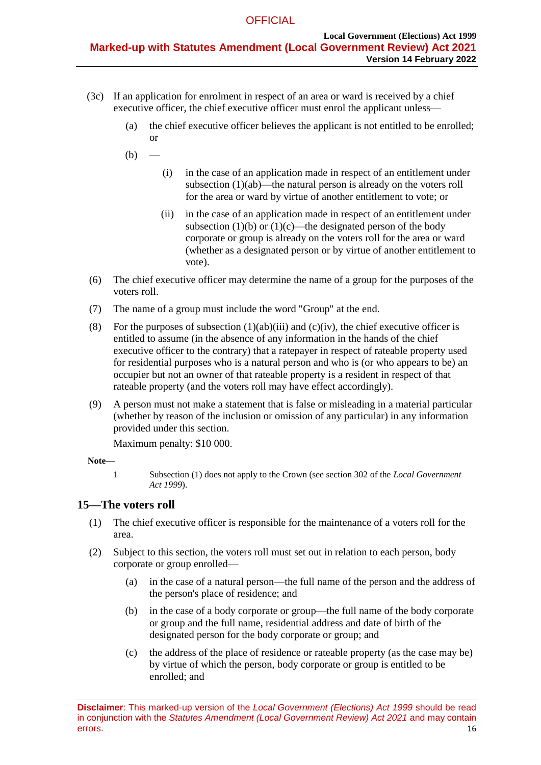- (3c) If an application for enrolment in respect of an area or ward is received by a chief executive officer, the chief executive officer must enrol the applicant unless—
	- (a) the chief executive officer believes the applicant is not entitled to be enrolled; or
	- $(b)$ 
		- (i) in the case of an application made in respect of an entitlement under [subsection](#page-13-2) (1)(ab)—the natural person is already on the voters roll for the area or ward by virtue of another entitlement to vote; or
		- (ii) in the case of an application made in respect of an entitlement under [subsection](#page-14-0) (1)(b) or [\(1\)\(c\)—](#page-14-1)the designated person of the body corporate or group is already on the voters roll for the area or ward (whether as a designated person or by virtue of another entitlement to vote).
- (6) The chief executive officer may determine the name of a group for the purposes of the voters roll.
- (7) The name of a group must include the word "Group" at the end.
- (8) For the purposes of [subsection](#page-13-4)  $(1)(ab)(iii)$  and  $(c)(iv)$ , the chief executive officer is entitled to assume (in the absence of any information in the hands of the chief executive officer to the contrary) that a ratepayer in respect of rateable property used for residential purposes who is a natural person and who is (or who appears to be) an occupier but not an owner of that rateable property is a resident in respect of that rateable property (and the voters roll may have effect accordingly).
- (9) A person must not make a statement that is false or misleading in a material particular (whether by reason of the inclusion or omission of any particular) in any information provided under this section.

Maximum penalty: \$10 000.

**Note—**

1 [Subsection](#page-13-5) (1) does not apply to the Crown (see section 302 of the *[Local Government](http://www.legislation.sa.gov.au/index.aspx?action=legref&type=act&legtitle=Local%20Government%20Act%201999)  Act [1999](http://www.legislation.sa.gov.au/index.aspx?action=legref&type=act&legtitle=Local%20Government%20Act%201999)*).

# **15—The voters roll**

- (1) The chief executive officer is responsible for the maintenance of a voters roll for the area.
- (2) Subject to this section, the voters roll must set out in relation to each person, body corporate or group enrolled—
	- (a) in the case of a natural person—the full name of the person and the address of the person's place of residence; and
	- (b) in the case of a body corporate or group—the full name of the body corporate or group and the full name, residential address and date of birth of the designated person for the body corporate or group; and
	- (c) the address of the place of residence or rateable property (as the case may be) by virtue of which the person, body corporate or group is entitled to be enrolled; and

**Disclaimer**: This marked-up version of the *Local Government (Elections) Act 1999* should be read in conjunction with the *Statutes Amendment (Local Government Review) Act 2021* and may contain errors. 16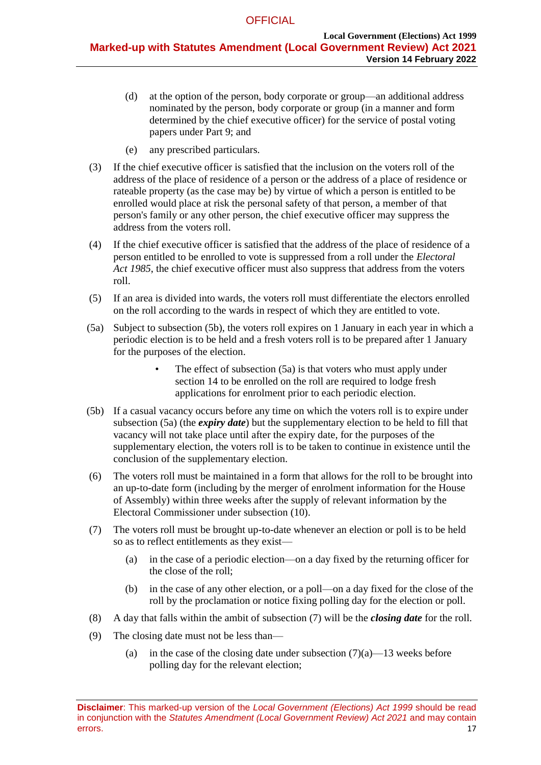- (d) at the option of the person, body corporate or group—an additional address nominated by the person, body corporate or group (in a manner and form determined by the chief executive officer) for the service of postal voting papers under [Part 9;](#page-27-0) and
- (e) any prescribed particulars.
- (3) If the chief executive officer is satisfied that the inclusion on the voters roll of the address of the place of residence of a person or the address of a place of residence or rateable property (as the case may be) by virtue of which a person is entitled to be enrolled would place at risk the personal safety of that person, a member of that person's family or any other person, the chief executive officer may suppress the address from the voters roll.
- (4) If the chief executive officer is satisfied that the address of the place of residence of a person entitled to be enrolled to vote is suppressed from a roll under the *[Electoral](http://www.legislation.sa.gov.au/index.aspx?action=legref&type=act&legtitle=Electoral%20Act%201985)  Act [1985](http://www.legislation.sa.gov.au/index.aspx?action=legref&type=act&legtitle=Electoral%20Act%201985)*, the chief executive officer must also suppress that address from the voters roll.
- (5) If an area is divided into wards, the voters roll must differentiate the electors enrolled on the roll according to the wards in respect of which they are entitled to vote.
- <span id="page-16-1"></span>(5a) Subject to [subsection](#page-16-0) (5b), the voters roll expires on 1 January in each year in which a periodic election is to be held and a fresh voters roll is to be prepared after 1 January for the purposes of the election.
	- The effect of [subsection](#page-16-1) (5a) is that voters who must apply under [section](#page-13-6) 14 to be enrolled on the roll are required to lodge fresh applications for enrolment prior to each periodic election.
- <span id="page-16-0"></span>(5b) If a casual vacancy occurs before any time on which the voters roll is to expire under [subsection](#page-16-1) (5a) (the *expiry date*) but the supplementary election to be held to fill that vacancy will not take place until after the expiry date, for the purposes of the supplementary election, the voters roll is to be taken to continue in existence until the conclusion of the supplementary election.
- (6) The voters roll must be maintained in a form that allows for the roll to be brought into an up-to-date form (including by the merger of enrolment information for the House of Assembly) within three weeks after the supply of relevant information by the Electoral Commissioner under [subsection](#page-17-0) (10).
- <span id="page-16-3"></span><span id="page-16-2"></span>(7) The voters roll must be brought up-to-date whenever an election or poll is to be held so as to reflect entitlements as they exist—
	- (a) in the case of a periodic election—on a day fixed by the returning officer for the close of the roll;
	- (b) in the case of any other election, or a poll—on a day fixed for the close of the roll by the proclamation or notice fixing polling day for the election or poll.
- <span id="page-16-4"></span>(8) A day that falls within the ambit of [subsection](#page-16-2) (7) will be the *closing date* for the roll.
- (9) The closing date must not be less than
	- (a) in the case of the closing date under [subsection](#page-16-3)  $(7)(a)$ —13 weeks before polling day for the relevant election;

**Disclaimer**: This marked-up version of the *Local Government (Elections) Act 1999* should be read in conjunction with the *Statutes Amendment (Local Government Review) Act 2021* and may contain errors. 2008. The contract of the contract of the contract of the contract of the contract of the contract of the contract of the contract of the contract of the contract of the contract of the contract of the contract of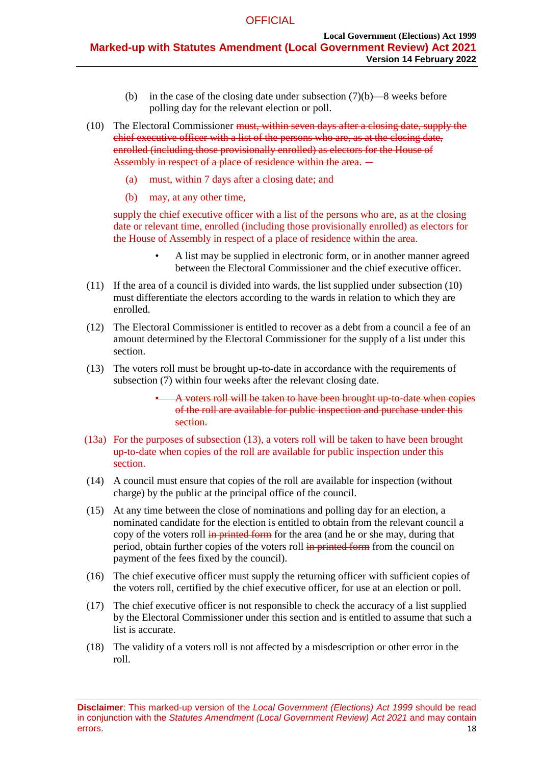- (b) in the case of the closing date under [subsection](#page-16-4)  $(7)(b)$ —8 weeks before polling day for the relevant election or poll.
- <span id="page-17-0"></span>(10) The Electoral Commissioner <del>must, within seven days after a closing date, supply the</del> chief executive officer with a list of the persons who are, as at the closing date, enrolled (including those provisionally enrolled) as electors for the House of Assembly in respect of a place of residence within the area.  $-$ 
	- (a) must, within 7 days after a closing date; and
	- (b) may, at any other time,

supply the chief executive officer with a list of the persons who are, as at the closing date or relevant time, enrolled (including those provisionally enrolled) as electors for the House of Assembly in respect of a place of residence within the area.

- A list may be supplied in electronic form, or in another manner agreed between the Electoral Commissioner and the chief executive officer.
- (11) If the area of a council is divided into wards, the list supplied under [subsection](#page-17-0) (10) must differentiate the electors according to the wards in relation to which they are enrolled.
- (12) The Electoral Commissioner is entitled to recover as a debt from a council a fee of an amount determined by the Electoral Commissioner for the supply of a list under this section.
- (13) The voters roll must be brought up-to-date in accordance with the requirements of [subsection](#page-16-2) (7) within four weeks after the relevant closing date.
	- A voters roll will be taken to have been brought up-to-date when copies of the roll are available for public inspection and purchase under this section.
- (13a) For the purposes of subsection (13), a voters roll will be taken to have been brought up-to-date when copies of the roll are available for public inspection under this section.
- (14) A council must ensure that copies of the roll are available for inspection (without charge) by the public at the principal office of the council.
- (15) At any time between the close of nominations and polling day for an election, a nominated candidate for the election is entitled to obtain from the relevant council a copy of the voters roll in printed form for the area (and he or she may, during that period, obtain further copies of the voters roll in printed form from the council on payment of the fees fixed by the council).
- (16) The chief executive officer must supply the returning officer with sufficient copies of the voters roll, certified by the chief executive officer, for use at an election or poll.
- (17) The chief executive officer is not responsible to check the accuracy of a list supplied by the Electoral Commissioner under this section and is entitled to assume that such a list is accurate.
- (18) The validity of a voters roll is not affected by a misdescription or other error in the roll.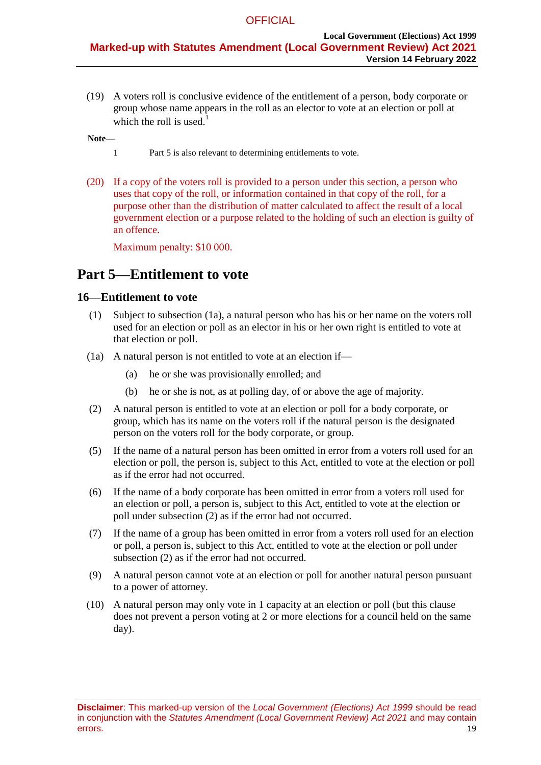(19) A voters roll is conclusive evidence of the entitlement of a person, body corporate or group whose name appears in the roll as an elector to vote at an election or poll at which the roll is used. $1$ 

#### **Note—**

- 1 [Part 5](#page-18-0) is also relevant to determining entitlements to vote.
- (20) If a copy of the voters roll is provided to a person under this section, a person who uses that copy of the roll, or information contained in that copy of the roll, for a purpose other than the distribution of matter calculated to affect the result of a local government election or a purpose related to the holding of such an election is guilty of an offence.

Maximum penalty: \$10 000.

# <span id="page-18-0"></span>**Part 5—Entitlement to vote**

### **16—Entitlement to vote**

- (1) Subject to subsection (1a), a natural person who has his or her name on the voters roll used for an election or poll as an elector in his or her own right is entitled to vote at that election or poll.
- (1a) A natural person is not entitled to vote at an election if—
	- (a) he or she was provisionally enrolled; and
	- (b) he or she is not, as at polling day, of or above the age of majority.
- <span id="page-18-1"></span>(2) A natural person is entitled to vote at an election or poll for a body corporate, or group, which has its name on the voters roll if the natural person is the designated person on the voters roll for the body corporate, or group.
- (5) If the name of a natural person has been omitted in error from a voters roll used for an election or poll, the person is, subject to this Act, entitled to vote at the election or poll as if the error had not occurred.
- (6) If the name of a body corporate has been omitted in error from a voters roll used for an election or poll, a person is, subject to this Act, entitled to vote at the election or poll under subsection (2) as if the error had not occurred.
- (7) If the name of a group has been omitted in error from a voters roll used for an election or poll, a person is, subject to this Act, entitled to vote at the election or poll under [subsection](#page-18-1) (2) as if the error had not occurred.
- (9) A natural person cannot vote at an election or poll for another natural person pursuant to a power of attorney.
- (10) A natural person may only vote in 1 capacity at an election or poll (but this clause does not prevent a person voting at 2 or more elections for a council held on the same day).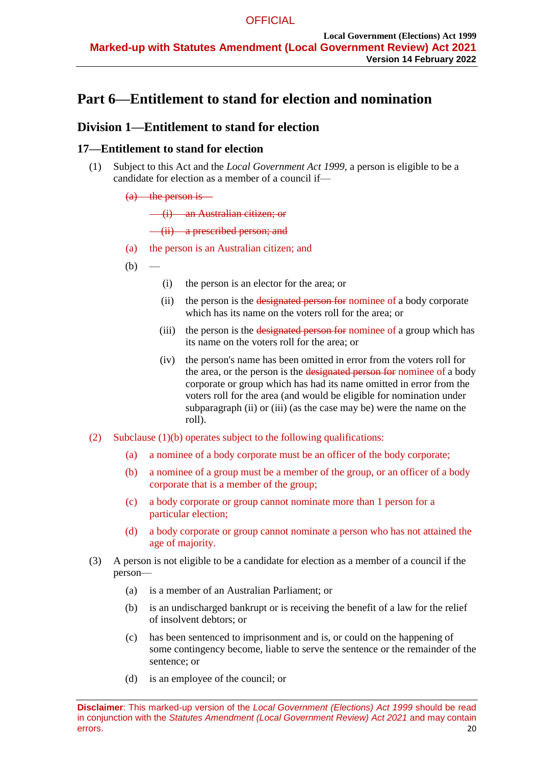# **Part 6—Entitlement to stand for election and nomination**

# **Division 1—Entitlement to stand for election**

# **17—Entitlement to stand for election**

- (1) Subject to this Act and the *[Local Government Act](http://www.legislation.sa.gov.au/index.aspx?action=legref&type=act&legtitle=Local%20Government%20Act%201999) 1999*, a person is eligible to be a candidate for election as a member of a council if—
	- $(a)$  the person is

(i) an Australian citizen; or

(ii) a prescribed person; and

- (a) the person is an Australian citizen; and
- <span id="page-19-2"></span><span id="page-19-1"></span><span id="page-19-0"></span> $(b)$
- (i) the person is an elector for the area; or
- (ii) the person is the designated person for nominee of a body corporate which has its name on the voters roll for the area; or
- (iii) the person is the designated person for nominee of a group which has its name on the voters roll for the area; or
- (iv) the person's name has been omitted in error from the voters roll for the area, or the person is the designated person for nominee of a body corporate or group which has had its name omitted in error from the voters roll for the area (and would be eligible for nomination under [subparagraph](#page-19-0) (ii) or [\(iii\)](#page-19-1) (as the case may be) were the name on the roll).
- (2) Subclause (1)(b) operates subject to the following qualifications:
	- (a) a nominee of a body corporate must be an officer of the body corporate;
	- (b) a nominee of a group must be a member of the group, or an officer of a body corporate that is a member of the group;
	- (c) a body corporate or group cannot nominate more than 1 person for a particular election;
	- (d) a body corporate or group cannot nominate a person who has not attained the age of majority.
- (3) A person is not eligible to be a candidate for election as a member of a council if the person—
	- (a) is a member of an Australian Parliament; or
	- (b) is an undischarged bankrupt or is receiving the benefit of a law for the relief of insolvent debtors; or
	- (c) has been sentenced to imprisonment and is, or could on the happening of some contingency become, liable to serve the sentence or the remainder of the sentence; or
	- (d) is an employee of the council; or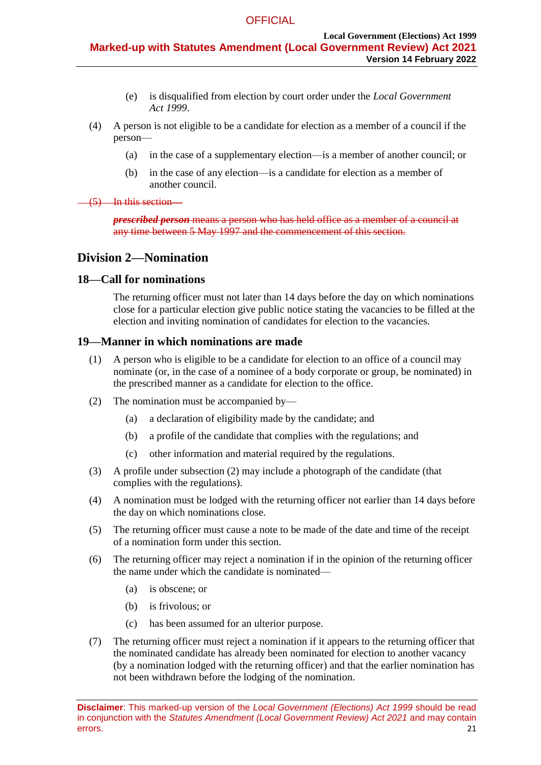- (e) is disqualified from election by court order under the *[Local Government](http://www.legislation.sa.gov.au/index.aspx?action=legref&type=act&legtitle=Local%20Government%20Act%201999)  Act [1999](http://www.legislation.sa.gov.au/index.aspx?action=legref&type=act&legtitle=Local%20Government%20Act%201999)*.
- (4) A person is not eligible to be a candidate for election as a member of a council if the person—
	- (a) in the case of a supplementary election—is a member of another council; or
	- (b) in the case of any election—is a candidate for election as a member of another council.
- (5) In this section—

*prescribed person* means a person who has held office as a member of a council at any time between 5 May 1997 and the commencement of this section.

# **Division 2—Nomination**

### <span id="page-20-0"></span>**18—Call for nominations**

The returning officer must not later than 14 days before the day on which nominations close for a particular election give public notice stating the vacancies to be filled at the election and inviting nomination of candidates for election to the vacancies.

### <span id="page-20-2"></span>**19—Manner in which nominations are made**

- (1) A person who is eligible to be a candidate for election to an office of a council may nominate (or, in the case of a nominee of a body corporate or group, be nominated) in the prescribed manner as a candidate for election to the office.
- <span id="page-20-1"></span>(2) The nomination must be accompanied by—
	- (a) a declaration of eligibility made by the candidate; and
	- (b) a profile of the candidate that complies with the regulations; and
	- (c) other information and material required by the regulations.
- (3) A profile under subsection (2) may include a photograph of the candidate (that complies with the regulations).
- (4) A nomination must be lodged with the returning officer not earlier than 14 days before the day on which nominations close.
- (5) The returning officer must cause a note to be made of the date and time of the receipt of a nomination form under this section.
- (6) The returning officer may reject a nomination if in the opinion of the returning officer the name under which the candidate is nominated—
	- (a) is obscene; or
	- (b) is frivolous; or
	- (c) has been assumed for an ulterior purpose.
- (7) The returning officer must reject a nomination if it appears to the returning officer that the nominated candidate has already been nominated for election to another vacancy (by a nomination lodged with the returning officer) and that the earlier nomination has not been withdrawn before the lodging of the nomination.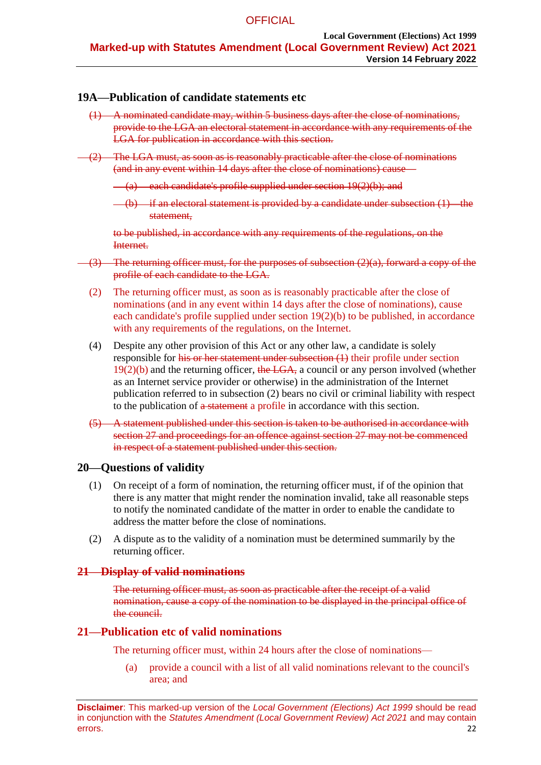# <span id="page-21-0"></span>**19A—Publication of candidate statements etc**

- (1) A nominated candidate may, within 5 business days after the close of nominations, provide to the LGA an electoral statement in accordance with any requirements of the LGA for publication in accordance with this section.
- <span id="page-21-2"></span><span id="page-21-1"></span>(2) The LGA must, as soon as is reasonably practicable after the close of nominations (and in any event within 14 days after the close of nominations) cause—
	- $(a)$  each candidate's profile supplied under section  $19(2)(b)$ ; and
	- $(-6)$  if an electoral statement is provided by a candidate under [subsection](#page-21-0)  $(1)$ —the statement,

to be published, in accordance with any requirements of the regulations, on the Internet.

- (3) The returning officer must, for the purposes of [subsection](#page-21-1) (2)(a), forward a copy of the profile of each candidate to the LGA.
	- (2) The returning officer must, as soon as is reasonably practicable after the close of nominations (and in any event within 14 days after the close of nominations), cause each candidate's profile supplied under section  $19(2)(b)$  to be published, in accordance with any requirements of the regulations, on the Internet.
	- (4) Despite any other provision of this Act or any other law, a candidate is solely responsible for his or her statement under [subsection](#page-21-0) (1) their profile under section  $19(2)(b)$  and the returning officer, the LGA, a council or any person involved (whether as an Internet service provider or otherwise) in the administration of the Internet publication referred to in [subsection](#page-21-2) (2) bears no civil or criminal liability with respect to the publication of a statement a profile in accordance with this section.
	- (5) A statement published under this section is taken to be authorised in accordance with [section](#page-23-0) 27 and proceedings for an offence against [section](#page-23-0) 27 may not be commenced in respect of a statement published under this section.

# **20—Questions of validity**

- (1) On receipt of a form of nomination, the returning officer must, if of the opinion that there is any matter that might render the nomination invalid, take all reasonable steps to notify the nominated candidate of the matter in order to enable the candidate to address the matter before the close of nominations.
- (2) A dispute as to the validity of a nomination must be determined summarily by the returning officer.

# **21—Display of valid nominations**

The returning officer must, as soon as practicable after the receipt of a valid nomination, cause a copy of the nomination to be displayed in the principal office of the council.

# **21—Publication etc of valid nominations**

The returning officer must, within 24 hours after the close of nominations—

(a) provide a council with a list of all valid nominations relevant to the council's area; and

**Disclaimer**: This marked-up version of the *Local Government (Elections) Act 1999* should be read in conjunction with the *Statutes Amendment (Local Government Review) Act 2021* and may contain errors. 22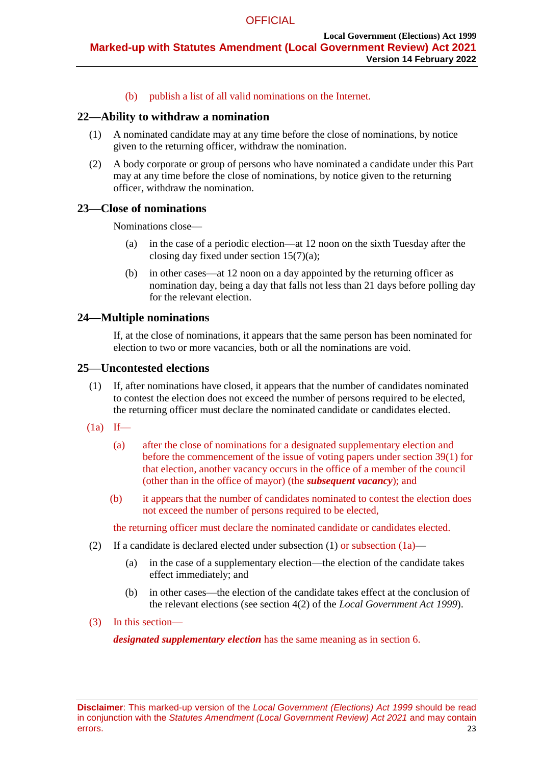(b) publish a list of all valid nominations on the Internet.

#### **22—Ability to withdraw a nomination**

- (1) A nominated candidate may at any time before the close of nominations, by notice given to the returning officer, withdraw the nomination.
- (2) A body corporate or group of persons who have nominated a candidate under this Part may at any time before the close of nominations, by notice given to the returning officer, withdraw the nomination.

# **23—Close of nominations**

Nominations close—

- (a) in the case of a periodic election—at 12 noon on the sixth Tuesday after the closing day fixed under section  $15(7)(a)$ ;
- (b) in other cases—at 12 noon on a day appointed by the returning officer as nomination day, being a day that falls not less than 21 days before polling day for the relevant election.

# **24—Multiple nominations**

If, at the close of nominations, it appears that the same person has been nominated for election to two or more vacancies, both or all the nominations are void.

#### <span id="page-22-0"></span>**25—Uncontested elections**

- (1) If, after nominations have closed, it appears that the number of candidates nominated to contest the election does not exceed the number of persons required to be elected, the returning officer must declare the nominated candidate or candidates elected.
- $(1a)$  If—
	- (a) after the close of nominations for a designated supplementary election and before the commencement of the issue of voting papers under section 39(1) for that election, another vacancy occurs in the office of a member of the council (other than in the office of mayor) (the *subsequent vacancy*); and
	- (b) it appears that the number of candidates nominated to contest the election does not exceed the number of persons required to be elected,

the returning officer must declare the nominated candidate or candidates elected.

- (2) If a candidate is declared elected under [subsection](#page-22-0)  $(1)$  or subsection  $(1a)$ 
	- (a) in the case of a supplementary election—the election of the candidate takes effect immediately; and
	- (b) in other cases—the election of the candidate takes effect at the conclusion of the relevant elections (see section 4(2) of the *[Local Government Act](http://www.legislation.sa.gov.au/index.aspx?action=legref&type=act&legtitle=Local%20Government%20Act%201999) 1999*).
- (3) In this section—

*designated supplementary election* has the same meaning as in section 6.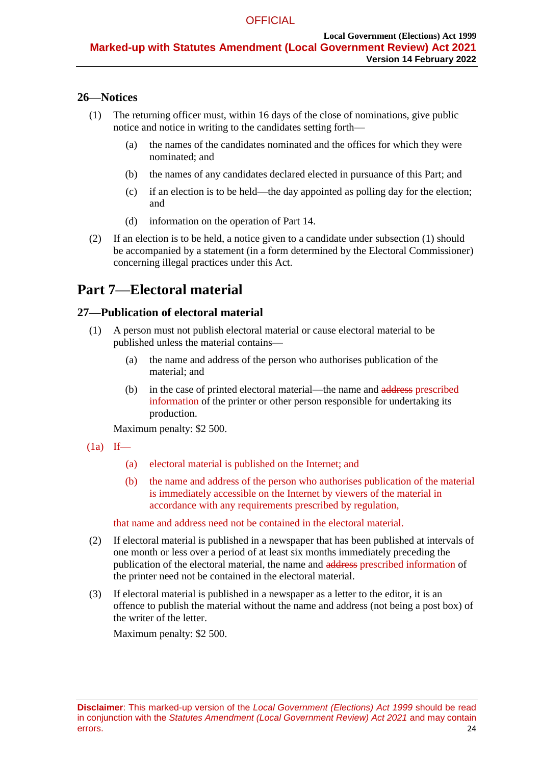# <span id="page-23-1"></span>**26—Notices**

- (1) The returning officer must, within 16 days of the close of nominations, give public notice and notice in writing to the candidates setting forth—
	- (a) the names of the candidates nominated and the offices for which they were nominated; and
	- (b) the names of any candidates declared elected in pursuance of this Part; and
	- (c) if an election is to be held—the day appointed as polling day for the election; and
	- (d) information on the operation of [Part 14.](#page-50-0)
- (2) If an election is to be held, a notice given to a candidate under [subsection](#page-23-1) (1) should be accompanied by a statement (in a form determined by the Electoral Commissioner) concerning illegal practices under this Act.

# **Part 7—Electoral material**

# <span id="page-23-0"></span>**27—Publication of electoral material**

- (1) A person must not publish electoral material or cause electoral material to be published unless the material contains—
	- (a) the name and address of the person who authorises publication of the material; and
	- (b) in the case of printed electoral material—the name and address prescribed information of the printer or other person responsible for undertaking its production.

Maximum penalty: \$2 500.

- $(1a)$  If—
	- (a) electoral material is published on the Internet; and
	- (b) the name and address of the person who authorises publication of the material is immediately accessible on the Internet by viewers of the material in accordance with any requirements prescribed by regulation,

that name and address need not be contained in the electoral material.

- (2) If electoral material is published in a newspaper that has been published at intervals of one month or less over a period of at least six months immediately preceding the publication of the electoral material, the name and address prescribed information of the printer need not be contained in the electoral material.
- (3) If electoral material is published in a newspaper as a letter to the editor, it is an offence to publish the material without the name and address (not being a post box) of the writer of the letter.

Maximum penalty: \$2 500.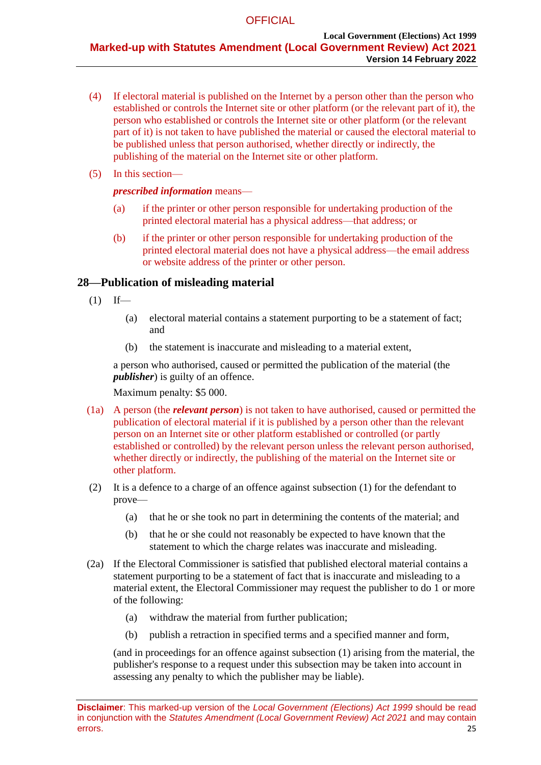- (4) If electoral material is published on the Internet by a person other than the person who established or controls the Internet site or other platform (or the relevant part of it), the person who established or controls the Internet site or other platform (or the relevant part of it) is not taken to have published the material or caused the electoral material to be published unless that person authorised, whether directly or indirectly, the publishing of the material on the Internet site or other platform.
- (5) In this section—

#### *prescribed information* means—

- (a) if the printer or other person responsible for undertaking production of the printed electoral material has a physical address—that address; or
- (b) if the printer or other person responsible for undertaking production of the printed electoral material does not have a physical address—the email address or website address of the printer or other person.

# **28—Publication of misleading material**

- <span id="page-24-0"></span> $(1)$  If—
	- (a) electoral material contains a statement purporting to be a statement of fact; and
	- (b) the statement is inaccurate and misleading to a material extent,

a person who authorised, caused or permitted the publication of the material (the *publisher*) is guilty of an offence.

Maximum penalty: \$5 000.

- (1a) A person (the *relevant person*) is not taken to have authorised, caused or permitted the publication of electoral material if it is published by a person other than the relevant person on an Internet site or other platform established or controlled (or partly established or controlled) by the relevant person unless the relevant person authorised, whether directly or indirectly, the publishing of the material on the Internet site or other platform.
- (2) It is a defence to a charge of an offence against [subsection](#page-24-0) (1) for the defendant to prove—
	- (a) that he or she took no part in determining the contents of the material; and
	- (b) that he or she could not reasonably be expected to have known that the statement to which the charge relates was inaccurate and misleading.
- (2a) If the Electoral Commissioner is satisfied that published electoral material contains a statement purporting to be a statement of fact that is inaccurate and misleading to a material extent, the Electoral Commissioner may request the publisher to do 1 or more of the following:
	- (a) withdraw the material from further publication;
	- (b) publish a retraction in specified terms and a specified manner and form,

(and in proceedings for an offence against [subsection](#page-24-0) (1) arising from the material, the publisher's response to a request under this subsection may be taken into account in assessing any penalty to which the publisher may be liable).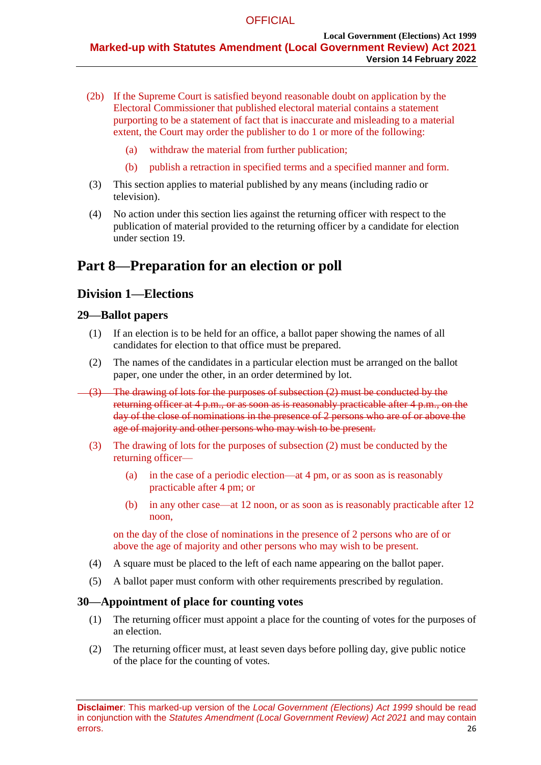- (2b) If the Supreme Court is satisfied beyond reasonable doubt on application by the Electoral Commissioner that published electoral material contains a statement purporting to be a statement of fact that is inaccurate and misleading to a material extent, the Court may order the publisher to do 1 or more of the following:
	- (a) withdraw the material from further publication;
	- (b) publish a retraction in specified terms and a specified manner and form.
- (3) This section applies to material published by any means (including radio or television).
- (4) No action under this section lies against the returning officer with respect to the publication of material provided to the returning officer by a candidate for election under [section](#page-20-2) 19.

# <span id="page-25-2"></span>**Part 8—Preparation for an election or poll**

# **Division 1—Elections**

# **29—Ballot papers**

- (1) If an election is to be held for an office, a ballot paper showing the names of all candidates for election to that office must be prepared.
- <span id="page-25-0"></span>(2) The names of the candidates in a particular election must be arranged on the ballot paper, one under the other, in an order determined by lot.
- (3) The drawing of lots for the purposes of [subsection](#page-25-0) (2) must be conducted by the returning officer at 4 p.m., or as soon as is reasonably practicable after 4 p.m., on the day of the close of nominations in the presence of 2 persons who are of or above the age of majority and other persons who may wish to be present.
	- (3) The drawing of lots for the purposes of subsection (2) must be conducted by the returning officer—
		- (a) in the case of a periodic election—at 4 pm, or as soon as is reasonably practicable after 4 pm; or
		- (b) in any other case—at 12 noon, or as soon as is reasonably practicable after 12 noon,

on the day of the close of nominations in the presence of 2 persons who are of or above the age of majority and other persons who may wish to be present.

- (4) A square must be placed to the left of each name appearing on the ballot paper.
- (5) A ballot paper must conform with other requirements prescribed by regulation.

# **30—Appointment of place for counting votes**

- (1) The returning officer must appoint a place for the counting of votes for the purposes of an election.
- <span id="page-25-1"></span>(2) The returning officer must, at least seven days before polling day, give public notice of the place for the counting of votes.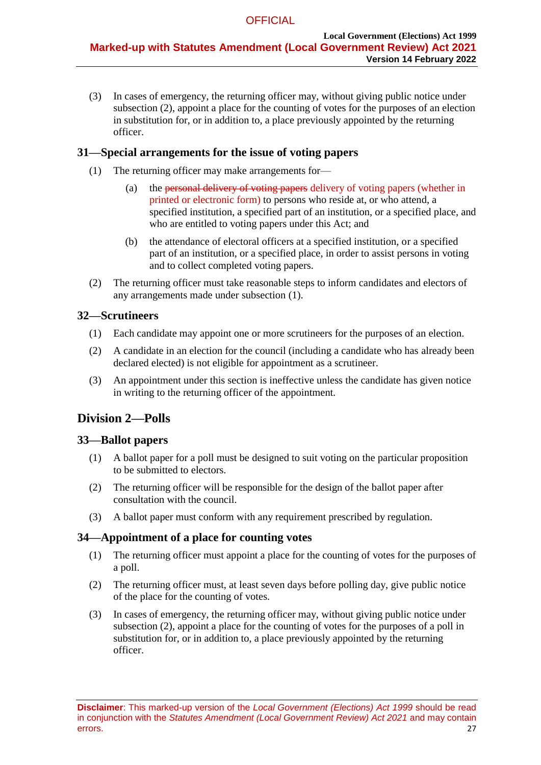(3) In cases of emergency, the returning officer may, without giving public notice under [subsection](#page-25-1) (2), appoint a place for the counting of votes for the purposes of an election in substitution for, or in addition to, a place previously appointed by the returning officer.

# **31—Special arrangements for the issue of voting papers**

- <span id="page-26-0"></span>(1) The returning officer may make arrangements for—
	- (a) the personal delivery of voting papers delivery of voting papers (whether in printed or electronic form) to persons who reside at, or who attend, a specified institution, a specified part of an institution, or a specified place, and who are entitled to voting papers under this Act; and
	- (b) the attendance of electoral officers at a specified institution, or a specified part of an institution, or a specified place, in order to assist persons in voting and to collect completed voting papers.
- (2) The returning officer must take reasonable steps to inform candidates and electors of any arrangements made under [subsection](#page-26-0) (1).

# **32—Scrutineers**

- (1) Each candidate may appoint one or more scrutineers for the purposes of an election.
- (2) A candidate in an election for the council (including a candidate who has already been declared elected) is not eligible for appointment as a scrutineer.
- (3) An appointment under this section is ineffective unless the candidate has given notice in writing to the returning officer of the appointment.

# **Division 2—Polls**

# **33—Ballot papers**

- (1) A ballot paper for a poll must be designed to suit voting on the particular proposition to be submitted to electors.
- (2) The returning officer will be responsible for the design of the ballot paper after consultation with the council.
- (3) A ballot paper must conform with any requirement prescribed by regulation.

# **34—Appointment of a place for counting votes**

- (1) The returning officer must appoint a place for the counting of votes for the purposes of a poll.
- <span id="page-26-1"></span>(2) The returning officer must, at least seven days before polling day, give public notice of the place for the counting of votes.
- (3) In cases of emergency, the returning officer may, without giving public notice under [subsection](#page-26-1) (2), appoint a place for the counting of votes for the purposes of a poll in substitution for, or in addition to, a place previously appointed by the returning officer.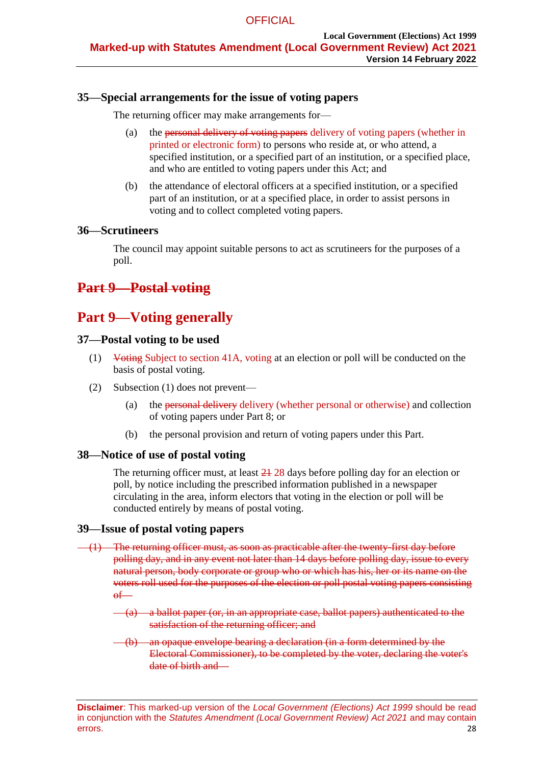# **35—Special arrangements for the issue of voting papers**

The returning officer may make arrangements for—

- (a) the personal delivery of voting papers delivery of voting papers (whether in printed or electronic form) to persons who reside at, or who attend, a specified institution, or a specified part of an institution, or a specified place, and who are entitled to voting papers under this Act; and
- (b) the attendance of electoral officers at a specified institution, or a specified part of an institution, or at a specified place, in order to assist persons in voting and to collect completed voting papers.

### **36—Scrutineers**

The council may appoint suitable persons to act as scrutineers for the purposes of a poll.

# <span id="page-27-0"></span>**Part 9—Postal voting**

# **Part 9—Voting generally**

### **37—Postal voting to be used**

- (1) Voting Subject to section 41A, voting at an election or poll will be conducted on the basis of postal voting.
- (2) Subsection (1) does not prevent—
	- (a) the personal delivery delivery (whether personal or otherwise) and collection of voting papers under [Part 8;](#page-25-2) or
	- (b) the personal provision and return of voting papers under this Part.

# **38—Notice of use of postal voting**

The returning officer must, at least  $\frac{21}{28}$  days before polling day for an election or poll, by notice including the prescribed information published in a newspaper circulating in the area, inform electors that voting in the election or poll will be conducted entirely by means of postal voting.

# **39—Issue of postal voting papers**

- <span id="page-27-1"></span> $(1)$  The returning officer must, as soon as practicable after the twenty-first day before polling day, and in any event not later than 14 days before polling day, issue to every natural person, body corporate or group who or which has his, her or its name on the voters roll used for the purposes of the election or poll postal voting papers consisting  $\theta$ 
	- (a) a ballot paper (or, in an appropriate case, ballot papers) authenticated to the satisfaction of the returning officer; and
	- (b) an opaque envelope bearing a declaration (in a form determined by the Electoral Commissioner), to be completed by the voter, declaring the voter's date of birth and—

**Disclaimer**: This marked-up version of the *Local Government (Elections) Act 1999* should be read in conjunction with the *Statutes Amendment (Local Government Review) Act 2021* and may contain errors. 28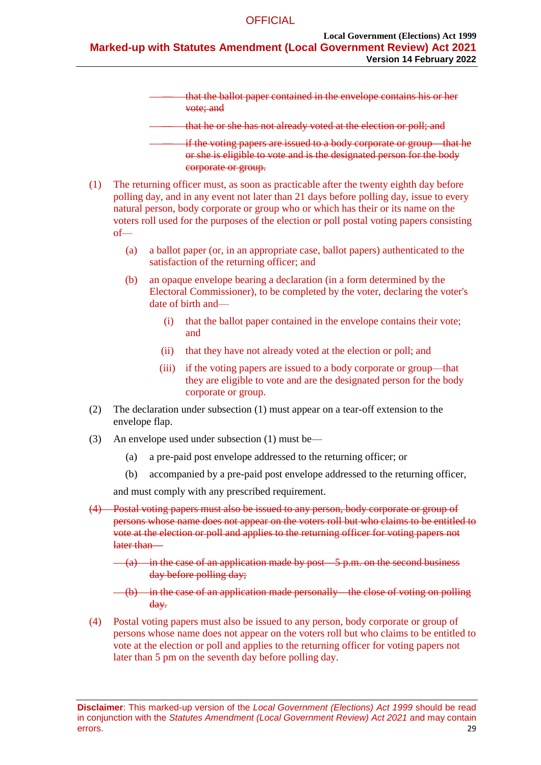— that the ballot paper contained in the envelope contains his or her vote; and

that he or she has not already voted at the election or poll; and

— if the voting papers are issued to a body corporate or group—that he or she is eligible to vote and is the designated person for the body corporate or group.

- (1) The returning officer must, as soon as practicable after the twenty eighth day before polling day, and in any event not later than 21 days before polling day, issue to every natural person, body corporate or group who or which has their or its name on the voters roll used for the purposes of the election or poll postal voting papers consisting of—
	- (a) a ballot paper (or, in an appropriate case, ballot papers) authenticated to the satisfaction of the returning officer; and
	- (b) an opaque envelope bearing a declaration (in a form determined by the Electoral Commissioner), to be completed by the voter, declaring the voter's date of birth and—
		- (i) that the ballot paper contained in the envelope contains their vote; and
		- (ii) that they have not already voted at the election or poll; and
		- (iii) if the voting papers are issued to a body corporate or group—that they are eligible to vote and are the designated person for the body corporate or group.
- (2) The declaration under [subsection](#page-27-1) (1) must appear on a tear-off extension to the envelope flap.
- (3) An envelope used under [subsection](#page-27-1) (1) must be—
	- (a) a pre-paid post envelope addressed to the returning officer; or
	- (b) accompanied by a pre-paid post envelope addressed to the returning officer,

and must comply with any prescribed requirement.

- <span id="page-28-0"></span>(4) Postal voting papers must also be issued to any person, body corporate or group of persons whose name does not appear on the voters roll but who claims to be entitled to vote at the election or poll and applies to the returning officer for voting papers not later than—
	- $(a)$  in the case of an application made by post—5 p.m. on the second business day before polling day;

 $(-6)$  in the case of an application made personally—the close of voting on polling day.

(4) Postal voting papers must also be issued to any person, body corporate or group of persons whose name does not appear on the voters roll but who claims to be entitled to vote at the election or poll and applies to the returning officer for voting papers not later than 5 pm on the seventh day before polling day.

**Disclaimer**: This marked-up version of the *Local Government (Elections) Act 1999* should be read in conjunction with the *Statutes Amendment (Local Government Review) Act 2021* and may contain errors. 29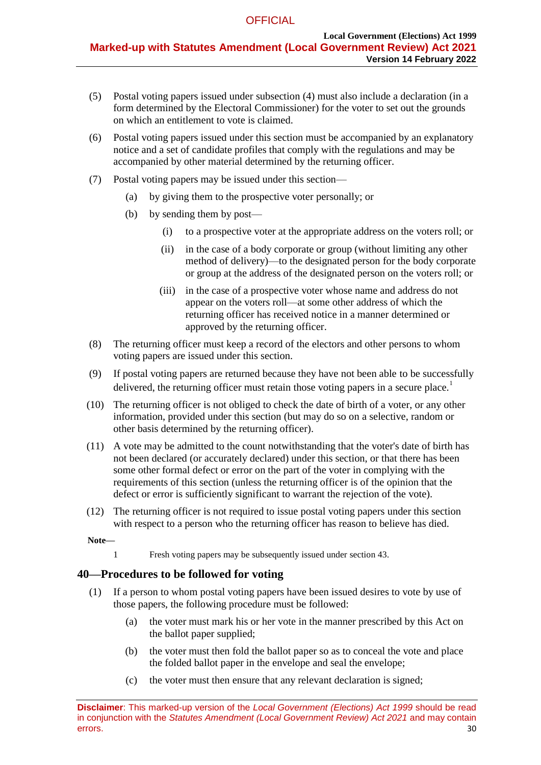- (5) Postal voting papers issued under [subsection](#page-28-0) (4) must also include a declaration (in a form determined by the Electoral Commissioner) for the voter to set out the grounds on which an entitlement to vote is claimed.
- (6) Postal voting papers issued under this section must be accompanied by an explanatory notice and a set of candidate profiles that comply with the regulations and may be accompanied by other material determined by the returning officer.
- (7) Postal voting papers may be issued under this section—
	- (a) by giving them to the prospective voter personally; or
	- (b) by sending them by post—
		- (i) to a prospective voter at the appropriate address on the voters roll; or
		- (ii) in the case of a body corporate or group (without limiting any other method of delivery)—to the designated person for the body corporate or group at the address of the designated person on the voters roll; or
		- (iii) in the case of a prospective voter whose name and address do not appear on the voters roll—at some other address of which the returning officer has received notice in a manner determined or approved by the returning officer.
- (8) The returning officer must keep a record of the electors and other persons to whom voting papers are issued under this section.
- (9) If postal voting papers are returned because they have not been able to be successfully delivered, the returning officer must retain those voting papers in a secure place.<sup>1</sup>
- (10) The returning officer is not obliged to check the date of birth of a voter, or any other information, provided under this section (but may do so on a selective, random or other basis determined by the returning officer).
- (11) A vote may be admitted to the count notwithstanding that the voter's date of birth has not been declared (or accurately declared) under this section, or that there has been some other formal defect or error on the part of the voter in complying with the requirements of this section (unless the returning officer is of the opinion that the defect or error is sufficiently significant to warrant the rejection of the vote).
- (12) The returning officer is not required to issue postal voting papers under this section with respect to a person who the returning officer has reason to believe has died.

**Note—**

1 Fresh voting papers may be subsequently issued under [section](#page-32-0) 43.

# <span id="page-29-0"></span>**40—Procedures to be followed for voting**

- (1) If a person to whom postal voting papers have been issued desires to vote by use of those papers, the following procedure must be followed:
	- (a) the voter must mark his or her vote in the manner prescribed by this Act on the ballot paper supplied;
	- (b) the voter must then fold the ballot paper so as to conceal the vote and place the folded ballot paper in the envelope and seal the envelope;
	- (c) the voter must then ensure that any relevant declaration is signed;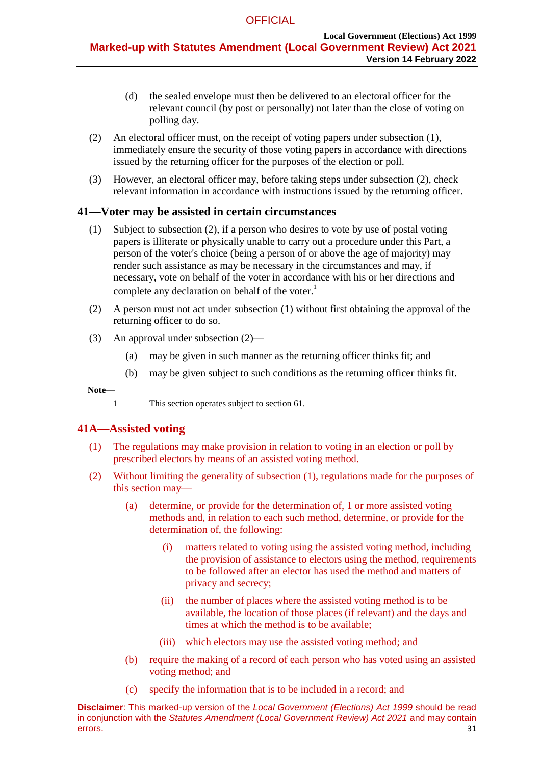- (d) the sealed envelope must then be delivered to an electoral officer for the relevant council (by post or personally) not later than the close of voting on polling day.
- <span id="page-30-0"></span>(2) An electoral officer must, on the receipt of voting papers under [subsection](#page-29-0) (1), immediately ensure the security of those voting papers in accordance with directions issued by the returning officer for the purposes of the election or poll.
- (3) However, an electoral officer may, before taking steps under [subsection](#page-30-0) (2), check relevant information in accordance with instructions issued by the returning officer.

# <span id="page-30-1"></span>**41—Voter may be assisted in certain circumstances**

- (1) Subject to subsection (2), if a person who desires to vote by use of postal voting papers is illiterate or physically unable to carry out a procedure under this Part, a person of the voter's choice (being a person of or above the age of majority) may render such assistance as may be necessary in the circumstances and may, if necessary, vote on behalf of the voter in accordance with his or her directions and complete any declaration on behalf of the voter.<sup>1</sup>
- <span id="page-30-2"></span>(2) A person must not act under [subsection](#page-30-1) (1) without first obtaining the approval of the returning officer to do so.
- (3) An approval under [subsection](#page-30-2) (2)—
	- (a) may be given in such manner as the returning officer thinks fit; and
	- (b) may be given subject to such conditions as the returning officer thinks fit.

#### **Note—**

1 This section operates subject to [section](#page-45-0) 61.

# **41A—Assisted voting**

- (1) The regulations may make provision in relation to voting in an election or poll by prescribed electors by means of an assisted voting method.
- (2) Without limiting the generality of subsection (1), regulations made for the purposes of this section may—
	- (a) determine, or provide for the determination of, 1 or more assisted voting methods and, in relation to each such method, determine, or provide for the determination of, the following:
		- (i) matters related to voting using the assisted voting method, including the provision of assistance to electors using the method, requirements to be followed after an elector has used the method and matters of privacy and secrecy;
		- (ii) the number of places where the assisted voting method is to be available, the location of those places (if relevant) and the days and times at which the method is to be available;
		- (iii) which electors may use the assisted voting method; and
	- (b) require the making of a record of each person who has voted using an assisted voting method; and
	- (c) specify the information that is to be included in a record; and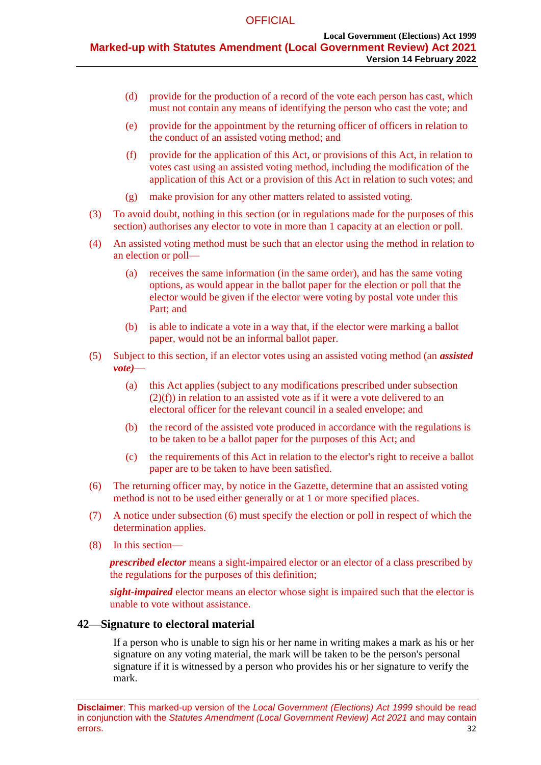- (d) provide for the production of a record of the vote each person has cast, which must not contain any means of identifying the person who cast the vote; and
- (e) provide for the appointment by the returning officer of officers in relation to the conduct of an assisted voting method; and
- (f) provide for the application of this Act, or provisions of this Act, in relation to votes cast using an assisted voting method, including the modification of the application of this Act or a provision of this Act in relation to such votes; and
- (g) make provision for any other matters related to assisted voting.
- (3) To avoid doubt, nothing in this section (or in regulations made for the purposes of this section) authorises any elector to vote in more than 1 capacity at an election or poll.
- (4) An assisted voting method must be such that an elector using the method in relation to an election or poll—
	- (a) receives the same information (in the same order), and has the same voting options, as would appear in the ballot paper for the election or poll that the elector would be given if the elector were voting by postal vote under this Part; and
	- (b) is able to indicate a vote in a way that, if the elector were marking a ballot paper, would not be an informal ballot paper.
- (5) Subject to this section, if an elector votes using an assisted voting method (an *assisted vote)—*
	- (a) this Act applies (subject to any modifications prescribed under subsection (2)(f)) in relation to an assisted vote as if it were a vote delivered to an electoral officer for the relevant council in a sealed envelope; and
	- (b) the record of the assisted vote produced in accordance with the regulations is to be taken to be a ballot paper for the purposes of this Act; and
	- (c) the requirements of this Act in relation to the elector's right to receive a ballot paper are to be taken to have been satisfied.
- (6) The returning officer may, by notice in the Gazette, determine that an assisted voting method is not to be used either generally or at 1 or more specified places.
- (7) A notice under subsection (6) must specify the election or poll in respect of which the determination applies.
- (8) In this section—

*prescribed elector* means a sight-impaired elector or an elector of a class prescribed by the regulations for the purposes of this definition;

*sight-impaired* elector means an elector whose sight is impaired such that the elector is unable to vote without assistance.

#### **42—Signature to electoral material**

If a person who is unable to sign his or her name in writing makes a mark as his or her signature on any voting material, the mark will be taken to be the person's personal signature if it is witnessed by a person who provides his or her signature to verify the mark.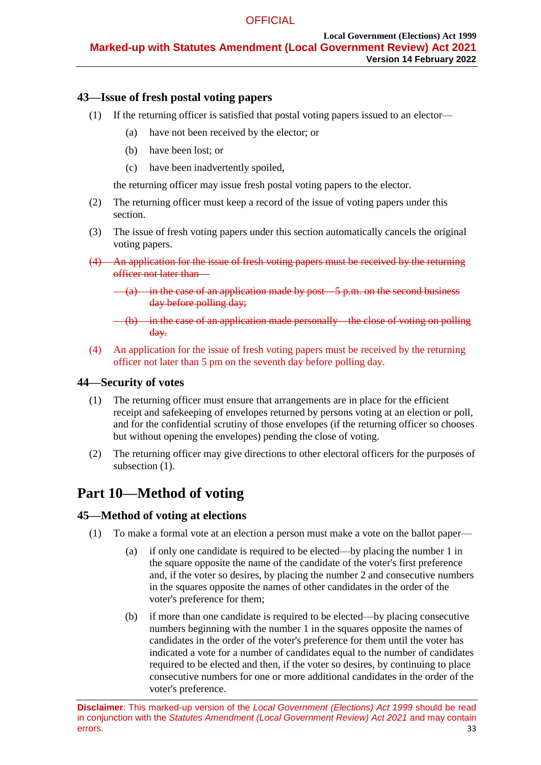# <span id="page-32-0"></span>**43—Issue of fresh postal voting papers**

- (1) If the returning officer is satisfied that postal voting papers issued to an elector—
	- (a) have not been received by the elector; or
	- (b) have been lost; or
	- (c) have been inadvertently spoiled,

the returning officer may issue fresh postal voting papers to the elector.

- (2) The returning officer must keep a record of the issue of voting papers under this section.
- (3) The issue of fresh voting papers under this section automatically cancels the original voting papers.
- (4) An application for the issue of fresh voting papers must be received by the returning officer not later than—
	- $(a)$  in the case of an application made by post—5 p.m. on the second business day before polling day;

(4) An application for the issue of fresh voting papers must be received by the returning officer not later than 5 pm on the seventh day before polling day.

# <span id="page-32-1"></span>**44—Security of votes**

- (1) The returning officer must ensure that arrangements are in place for the efficient receipt and safekeeping of envelopes returned by persons voting at an election or poll, and for the confidential scrutiny of those envelopes (if the returning officer so chooses but without opening the envelopes) pending the close of voting.
- (2) The returning officer may give directions to other electoral officers for the purposes of [subsection](#page-32-1)  $(1)$ .

# **Part 10—Method of voting**

# **45—Method of voting at elections**

- (1) To make a formal vote at an election a person must make a vote on the ballot paper—
	- (a) if only one candidate is required to be elected—by placing the number 1 in the square opposite the name of the candidate of the voter's first preference and, if the voter so desires, by placing the number 2 and consecutive numbers in the squares opposite the names of other candidates in the order of the voter's preference for them;
	- (b) if more than one candidate is required to be elected—by placing consecutive numbers beginning with the number 1 in the squares opposite the names of candidates in the order of the voter's preference for them until the voter has indicated a vote for a number of candidates equal to the number of candidates required to be elected and then, if the voter so desires, by continuing to place consecutive numbers for one or more additional candidates in the order of the voter's preference.

<sup>(</sup>b) in the case of an application made personally—the close of voting on polling day.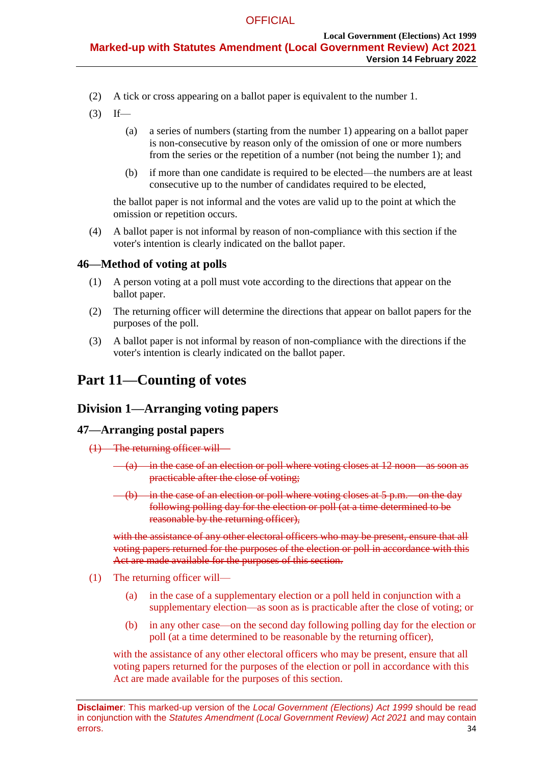- (2) A tick or cross appearing on a ballot paper is equivalent to the number 1.
- $(3)$  If—
	- (a) a series of numbers (starting from the number 1) appearing on a ballot paper is non-consecutive by reason only of the omission of one or more numbers from the series or the repetition of a number (not being the number 1); and
	- (b) if more than one candidate is required to be elected—the numbers are at least consecutive up to the number of candidates required to be elected,

the ballot paper is not informal and the votes are valid up to the point at which the omission or repetition occurs.

(4) A ballot paper is not informal by reason of non-compliance with this section if the voter's intention is clearly indicated on the ballot paper.

# **46—Method of voting at polls**

- (1) A person voting at a poll must vote according to the directions that appear on the ballot paper.
- (2) The returning officer will determine the directions that appear on ballot papers for the purposes of the poll.
- (3) A ballot paper is not informal by reason of non-compliance with the directions if the voter's intention is clearly indicated on the ballot paper.

# **Part 11—Counting of votes**

# **Division 1—Arranging voting papers**

# **47—Arranging postal papers**

- (1) The returning officer will—
	- $(a)$  in the case of an election or poll where voting closes at 12 noon—as soon as practicable after the close of voting;
	- $(b)$  in the case of an election or poll where voting closes at 5 p.m. on the day following polling day for the election or poll (at a time determined to be reasonable by the returning officer),

with the assistance of any other electoral officers who may be present, ensure that all voting papers returned for the purposes of the election or poll in accordance with this Act are made available for the purposes of this section.

- (1) The returning officer will—
	- (a) in the case of a supplementary election or a poll held in conjunction with a supplementary election—as soon as is practicable after the close of voting; or
	- (b) in any other case—on the second day following polling day for the election or poll (at a time determined to be reasonable by the returning officer),

with the assistance of any other electoral officers who may be present, ensure that all voting papers returned for the purposes of the election or poll in accordance with this Act are made available for the purposes of this section.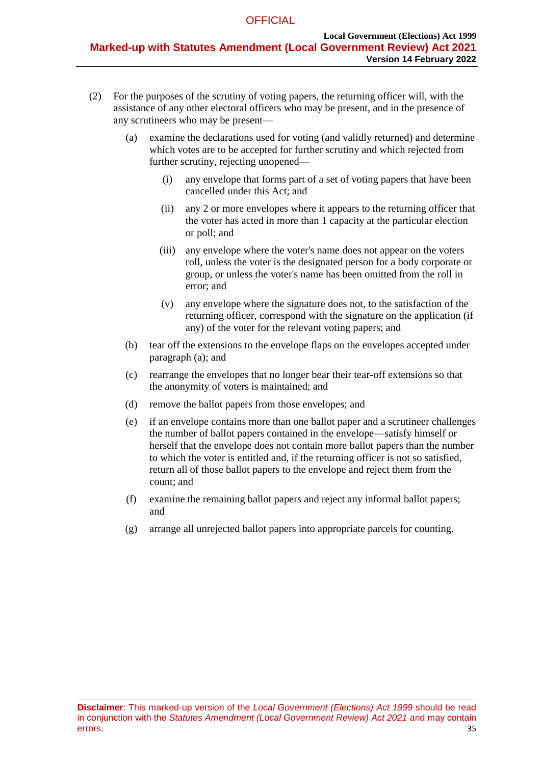- <span id="page-34-0"></span>(2) For the purposes of the scrutiny of voting papers, the returning officer will, with the assistance of any other electoral officers who may be present, and in the presence of any scrutineers who may be present—
	- (a) examine the declarations used for voting (and validly returned) and determine which votes are to be accepted for further scrutiny and which rejected from further scrutiny, rejecting unopened—
		- (i) any envelope that forms part of a set of voting papers that have been cancelled under this Act; and
		- (ii) any 2 or more envelopes where it appears to the returning officer that the voter has acted in more than 1 capacity at the particular election or poll; and
		- (iii) any envelope where the voter's name does not appear on the voters roll, unless the voter is the designated person for a body corporate or group, or unless the voter's name has been omitted from the roll in error; and
		- (v) any envelope where the signature does not, to the satisfaction of the returning officer, correspond with the signature on the application (if any) of the voter for the relevant voting papers; and
	- (b) tear off the extensions to the envelope flaps on the envelopes accepted under [paragraph](#page-34-0) (a); and
	- (c) rearrange the envelopes that no longer bear their tear-off extensions so that the anonymity of voters is maintained; and
	- (d) remove the ballot papers from those envelopes; and
	- (e) if an envelope contains more than one ballot paper and a scrutineer challenges the number of ballot papers contained in the envelope—satisfy himself or herself that the envelope does not contain more ballot papers than the number to which the voter is entitled and, if the returning officer is not so satisfied, return all of those ballot papers to the envelope and reject them from the count; and
	- (f) examine the remaining ballot papers and reject any informal ballot papers; and
	- (g) arrange all unrejected ballot papers into appropriate parcels for counting.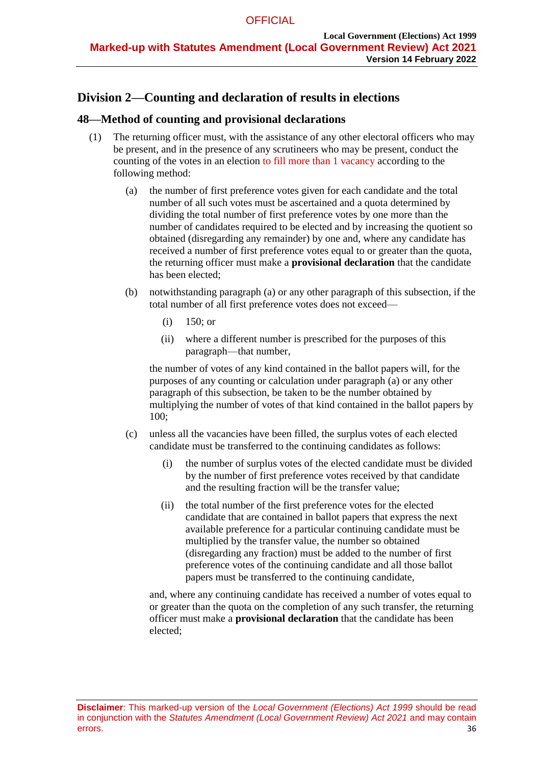# **Division 2—Counting and declaration of results in elections**

# <span id="page-35-5"></span><span id="page-35-4"></span>**48—Method of counting and provisional declarations**

- <span id="page-35-0"></span>(1) The returning officer must, with the assistance of any other electoral officers who may be present, and in the presence of any scrutineers who may be present, conduct the counting of the votes in an election to fill more than 1 vacancy according to the following method:
	- (a) the number of first preference votes given for each candidate and the total number of all such votes must be ascertained and a quota determined by dividing the total number of first preference votes by one more than the number of candidates required to be elected and by increasing the quotient so obtained (disregarding any remainder) by one and, where any candidate has received a number of first preference votes equal to or greater than the quota, the returning officer must make a **provisional declaration** that the candidate has been elected;
	- (b) notwithstanding [paragraph](#page-35-0) (a) or any other paragraph of this subsection, if the total number of all first preference votes does not exceed—
		- (i) 150; or
		- (ii) where a different number is prescribed for the purposes of this paragraph—that number,

the number of votes of any kind contained in the ballot papers will, for the purposes of any counting or calculation under [paragraph](#page-35-0) (a) or any other paragraph of this subsection, be taken to be the number obtained by multiplying the number of votes of that kind contained in the ballot papers by 100;

- <span id="page-35-3"></span><span id="page-35-2"></span><span id="page-35-1"></span>(c) unless all the vacancies have been filled, the surplus votes of each elected candidate must be transferred to the continuing candidates as follows:
	- (i) the number of surplus votes of the elected candidate must be divided by the number of first preference votes received by that candidate and the resulting fraction will be the transfer value;
	- (ii) the total number of the first preference votes for the elected candidate that are contained in ballot papers that express the next available preference for a particular continuing candidate must be multiplied by the transfer value, the number so obtained (disregarding any fraction) must be added to the number of first preference votes of the continuing candidate and all those ballot papers must be transferred to the continuing candidate,

and, where any continuing candidate has received a number of votes equal to or greater than the quota on the completion of any such transfer, the returning officer must make a **provisional declaration** that the candidate has been elected;

**Disclaimer**: This marked-up version of the *Local Government (Elections) Act 1999* should be read in conjunction with the *Statutes Amendment (Local Government Review) Act 2021* and may contain errors. 36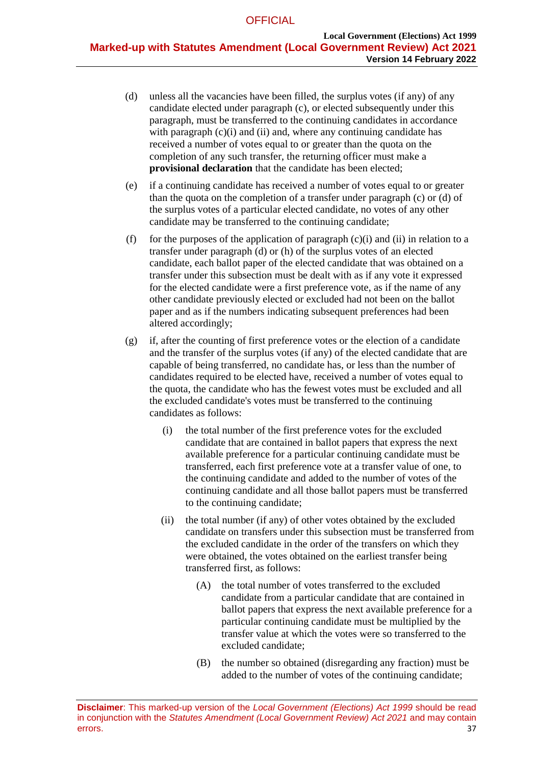- <span id="page-36-0"></span>(d) unless all the vacancies have been filled, the surplus votes (if any) of any candidate elected under [paragraph](#page-35-1) (c), or elected subsequently under this paragraph, must be transferred to the continuing candidates in accordance with [paragraph](#page-35-2)  $(c)(i)$  and  $(ii)$  and, where any continuing candidate has received a number of votes equal to or greater than the quota on the completion of any such transfer, the returning officer must make a **provisional declaration** that the candidate has been elected;
- (e) if a continuing candidate has received a number of votes equal to or greater than the quota on the completion of a transfer under [paragraph](#page-35-1) (c) or [\(d\)](#page-36-0) of the surplus votes of a particular elected candidate, no votes of any other candidate may be transferred to the continuing candidate;
- (f) for the purposes of the application of [paragraph](#page-35-2)  $(c)(i)$  and [\(ii\)](#page-35-3) in relation to a transfer under [paragraph](#page-36-0) (d) or [\(h\)](#page-37-0) of the surplus votes of an elected candidate, each ballot paper of the elected candidate that was obtained on a transfer under this subsection must be dealt with as if any vote it expressed for the elected candidate were a first preference vote, as if the name of any other candidate previously elected or excluded had not been on the ballot paper and as if the numbers indicating subsequent preferences had been altered accordingly;
- <span id="page-36-3"></span><span id="page-36-2"></span><span id="page-36-1"></span>(g) if, after the counting of first preference votes or the election of a candidate and the transfer of the surplus votes (if any) of the elected candidate that are capable of being transferred, no candidate has, or less than the number of candidates required to be elected have, received a number of votes equal to the quota, the candidate who has the fewest votes must be excluded and all the excluded candidate's votes must be transferred to the continuing candidates as follows:
	- (i) the total number of the first preference votes for the excluded candidate that are contained in ballot papers that express the next available preference for a particular continuing candidate must be transferred, each first preference vote at a transfer value of one, to the continuing candidate and added to the number of votes of the continuing candidate and all those ballot papers must be transferred to the continuing candidate;
	- (ii) the total number (if any) of other votes obtained by the excluded candidate on transfers under this subsection must be transferred from the excluded candidate in the order of the transfers on which they were obtained, the votes obtained on the earliest transfer being transferred first, as follows:
		- (A) the total number of votes transferred to the excluded candidate from a particular candidate that are contained in ballot papers that express the next available preference for a particular continuing candidate must be multiplied by the transfer value at which the votes were so transferred to the excluded candidate;
		- (B) the number so obtained (disregarding any fraction) must be added to the number of votes of the continuing candidate;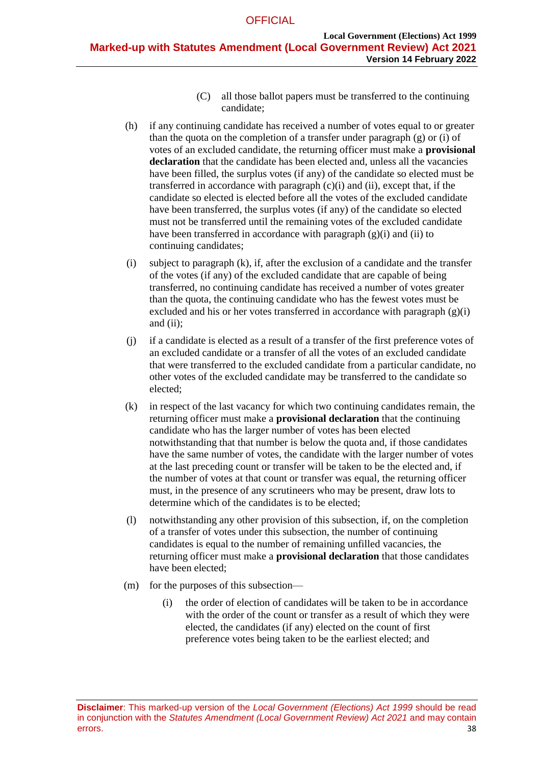- (C) all those ballot papers must be transferred to the continuing candidate;
- <span id="page-37-0"></span>(h) if any continuing candidate has received a number of votes equal to or greater than the quota on the completion of a transfer under [paragraph](#page-36-1)  $(g)$  or  $(i)$  of votes of an excluded candidate, the returning officer must make a **provisional declaration** that the candidate has been elected and, unless all the vacancies have been filled, the surplus votes (if any) of the candidate so elected must be transferred in accordance with [paragraph](#page-35-2)  $(c)(i)$  and  $(ii)$ , except that, if the candidate so elected is elected before all the votes of the excluded candidate have been transferred, the surplus votes (if any) of the candidate so elected must not be transferred until the remaining votes of the excluded candidate have been transferred in accordance with [paragraph](#page-36-2)  $(g)(i)$  and  $(ii)$  to continuing candidates;
- <span id="page-37-1"></span>(i) subject to [paragraph](#page-37-2) (k), if, after the exclusion of a candidate and the transfer of the votes (if any) of the excluded candidate that are capable of being transferred, no continuing candidate has received a number of votes greater than the quota, the continuing candidate who has the fewest votes must be excluded and his or her votes transferred in accordance with [paragraph](#page-36-2)  $(g)(i)$ and [\(ii\);](#page-36-3)
- (j) if a candidate is elected as a result of a transfer of the first preference votes of an excluded candidate or a transfer of all the votes of an excluded candidate that were transferred to the excluded candidate from a particular candidate, no other votes of the excluded candidate may be transferred to the candidate so elected;
- <span id="page-37-2"></span>(k) in respect of the last vacancy for which two continuing candidates remain, the returning officer must make a **provisional declaration** that the continuing candidate who has the larger number of votes has been elected notwithstanding that that number is below the quota and, if those candidates have the same number of votes, the candidate with the larger number of votes at the last preceding count or transfer will be taken to be the elected and, if the number of votes at that count or transfer was equal, the returning officer must, in the presence of any scrutineers who may be present, draw lots to determine which of the candidates is to be elected;
- (l) notwithstanding any other provision of this subsection, if, on the completion of a transfer of votes under this subsection, the number of continuing candidates is equal to the number of remaining unfilled vacancies, the returning officer must make a **provisional declaration** that those candidates have been elected;
- (m) for the purposes of this subsection—
	- (i) the order of election of candidates will be taken to be in accordance with the order of the count or transfer as a result of which they were elected, the candidates (if any) elected on the count of first preference votes being taken to be the earliest elected; and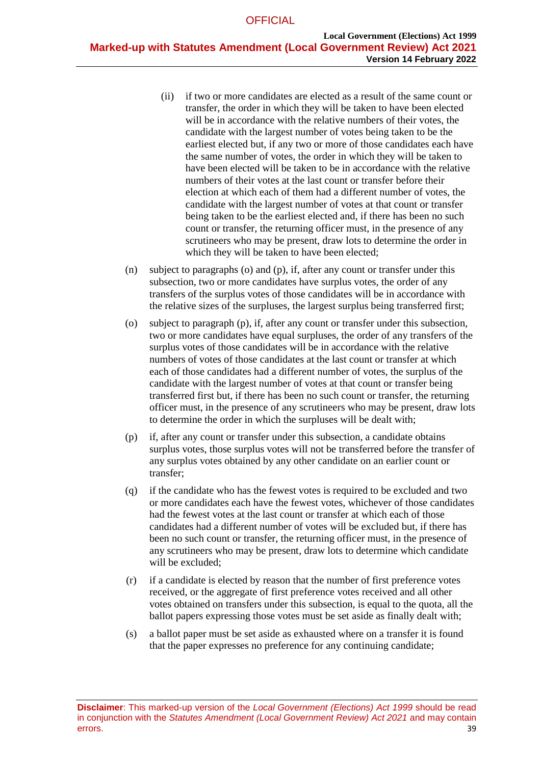- (ii) if two or more candidates are elected as a result of the same count or transfer, the order in which they will be taken to have been elected will be in accordance with the relative numbers of their votes, the candidate with the largest number of votes being taken to be the earliest elected but, if any two or more of those candidates each have the same number of votes, the order in which they will be taken to have been elected will be taken to be in accordance with the relative numbers of their votes at the last count or transfer before their election at which each of them had a different number of votes, the candidate with the largest number of votes at that count or transfer being taken to be the earliest elected and, if there has been no such count or transfer, the returning officer must, in the presence of any scrutineers who may be present, draw lots to determine the order in which they will be taken to have been elected;
- (n) subject to [paragraphs](#page-38-0) (o) and [\(p\),](#page-38-1) if, after any count or transfer under this subsection, two or more candidates have surplus votes, the order of any transfers of the surplus votes of those candidates will be in accordance with the relative sizes of the surpluses, the largest surplus being transferred first;
- <span id="page-38-0"></span>(o) subject to [paragraph](#page-38-1) (p), if, after any count or transfer under this subsection, two or more candidates have equal surpluses, the order of any transfers of the surplus votes of those candidates will be in accordance with the relative numbers of votes of those candidates at the last count or transfer at which each of those candidates had a different number of votes, the surplus of the candidate with the largest number of votes at that count or transfer being transferred first but, if there has been no such count or transfer, the returning officer must, in the presence of any scrutineers who may be present, draw lots to determine the order in which the surpluses will be dealt with;
- <span id="page-38-1"></span>(p) if, after any count or transfer under this subsection, a candidate obtains surplus votes, those surplus votes will not be transferred before the transfer of any surplus votes obtained by any other candidate on an earlier count or transfer;
- (q) if the candidate who has the fewest votes is required to be excluded and two or more candidates each have the fewest votes, whichever of those candidates had the fewest votes at the last count or transfer at which each of those candidates had a different number of votes will be excluded but, if there has been no such count or transfer, the returning officer must, in the presence of any scrutineers who may be present, draw lots to determine which candidate will be excluded;
- (r) if a candidate is elected by reason that the number of first preference votes received, or the aggregate of first preference votes received and all other votes obtained on transfers under this subsection, is equal to the quota, all the ballot papers expressing those votes must be set aside as finally dealt with;
- (s) a ballot paper must be set aside as exhausted where on a transfer it is found that the paper expresses no preference for any continuing candidate;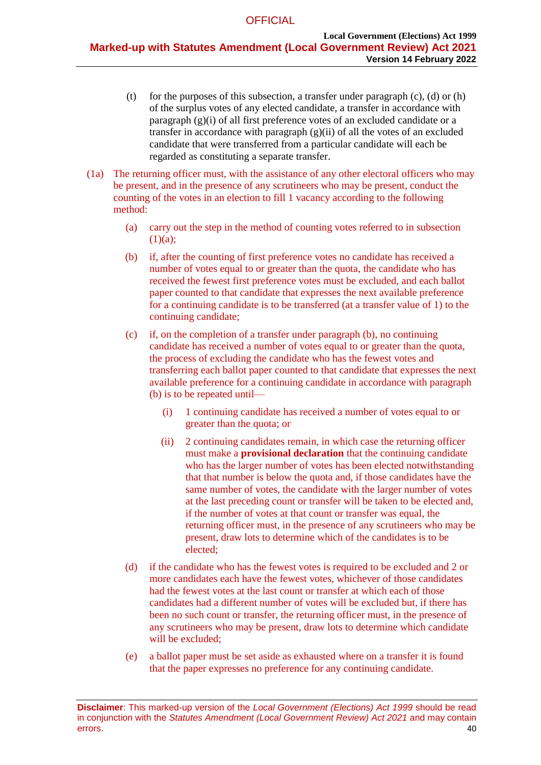- (t) for the purposes of this subsection, a transfer under [paragraph](#page-35-1)  $(c)$ ,  $(d)$  or  $(h)$ of the surplus votes of any elected candidate, a transfer in accordance with [paragraph](#page-36-2) (g)(i) of all first preference votes of an excluded candidate or a transfer in accordance with [paragraph](#page-36-3) (g)(ii) of all the votes of an excluded candidate that were transferred from a particular candidate will each be regarded as constituting a separate transfer.
- (1a) The returning officer must, with the assistance of any other electoral officers who may be present, and in the presence of any scrutineers who may be present, conduct the counting of the votes in an election to fill 1 vacancy according to the following method:
	- (a) carry out the step in the method of counting votes referred to in subsection  $(1)(a)$ ;
	- (b) if, after the counting of first preference votes no candidate has received a number of votes equal to or greater than the quota, the candidate who has received the fewest first preference votes must be excluded, and each ballot paper counted to that candidate that expresses the next available preference for a continuing candidate is to be transferred (at a transfer value of 1) to the continuing candidate;
	- (c) if, on the completion of a transfer under paragraph (b), no continuing candidate has received a number of votes equal to or greater than the quota, the process of excluding the candidate who has the fewest votes and transferring each ballot paper counted to that candidate that expresses the next available preference for a continuing candidate in accordance with paragraph (b) is to be repeated until—
		- (i) 1 continuing candidate has received a number of votes equal to or greater than the quota; or
		- (ii) 2 continuing candidates remain, in which case the returning officer must make a **provisional declaration** that the continuing candidate who has the larger number of votes has been elected notwithstanding that that number is below the quota and, if those candidates have the same number of votes, the candidate with the larger number of votes at the last preceding count or transfer will be taken to be elected and, if the number of votes at that count or transfer was equal, the returning officer must, in the presence of any scrutineers who may be present, draw lots to determine which of the candidates is to be elected;
	- (d) if the candidate who has the fewest votes is required to be excluded and 2 or more candidates each have the fewest votes, whichever of those candidates had the fewest votes at the last count or transfer at which each of those candidates had a different number of votes will be excluded but, if there has been no such count or transfer, the returning officer must, in the presence of any scrutineers who may be present, draw lots to determine which candidate will be excluded;
	- (e) a ballot paper must be set aside as exhausted where on a transfer it is found that the paper expresses no preference for any continuing candidate.

**Disclaimer**: This marked-up version of the *Local Government (Elections) Act 1999* should be read in conjunction with the *Statutes Amendment (Local Government Review) Act 2021* and may contain errors. 40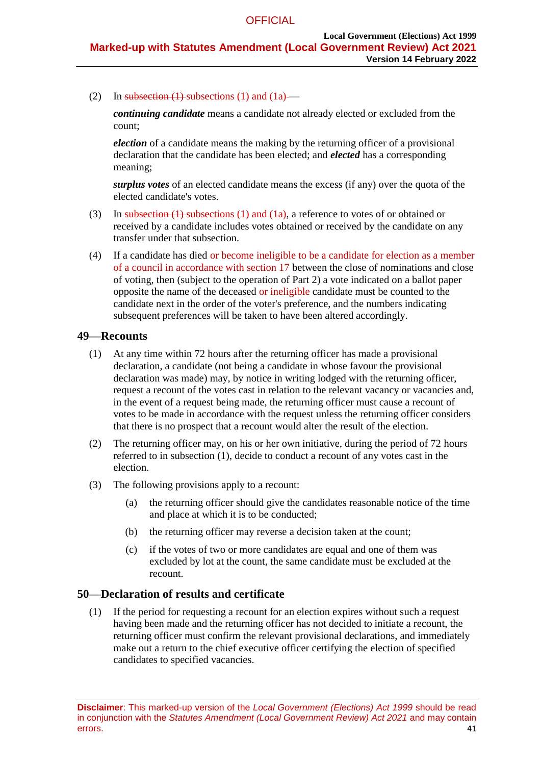(2) In [subsection](#page-35-4)  $(1)$  subsections  $(1)$  and  $(1a)$ —

*continuing candidate* means a candidate not already elected or excluded from the count;

*election* of a candidate means the making by the returning officer of a provisional declaration that the candidate has been elected; and *elected* has a corresponding meaning;

*surplus votes* of an elected candidate means the excess (if any) over the quota of the elected candidate's votes.

- (3) In [subsection](#page-35-4)  $(1)$ -subsections  $(1)$  and  $(1a)$ , a reference to votes of or obtained or received by a candidate includes votes obtained or received by the candidate on any transfer under that subsection.
- (4) If a candidate has died or become ineligible to be a candidate for election as a member of a council in accordance with section 17 between the close of nominations and close of voting, then (subject to the operation of [Part 2\)](#page-6-2) a vote indicated on a ballot paper opposite the name of the deceased or ineligible candidate must be counted to the candidate next in the order of the voter's preference, and the numbers indicating subsequent preferences will be taken to have been altered accordingly.

# <span id="page-40-2"></span><span id="page-40-0"></span>**49—Recounts**

- (1) At any time within 72 hours after the returning officer has made a provisional declaration, a candidate (not being a candidate in whose favour the provisional declaration was made) may, by notice in writing lodged with the returning officer, request a recount of the votes cast in relation to the relevant vacancy or vacancies and, in the event of a request being made, the returning officer must cause a recount of votes to be made in accordance with the request unless the returning officer considers that there is no prospect that a recount would alter the result of the election.
- (2) The returning officer may, on his or her own initiative, during the period of 72 hours referred to in [subsection](#page-40-0) (1), decide to conduct a recount of any votes cast in the election.
- (3) The following provisions apply to a recount:
	- (a) the returning officer should give the candidates reasonable notice of the time and place at which it is to be conducted;
	- (b) the returning officer may reverse a decision taken at the count;
	- (c) if the votes of two or more candidates are equal and one of them was excluded by lot at the count, the same candidate must be excluded at the recount.

# <span id="page-40-3"></span><span id="page-40-1"></span>**50—Declaration of results and certificate**

(1) If the period for requesting a recount for an election expires without such a request having been made and the returning officer has not decided to initiate a recount, the returning officer must confirm the relevant provisional declarations, and immediately make out a return to the chief executive officer certifying the election of specified candidates to specified vacancies.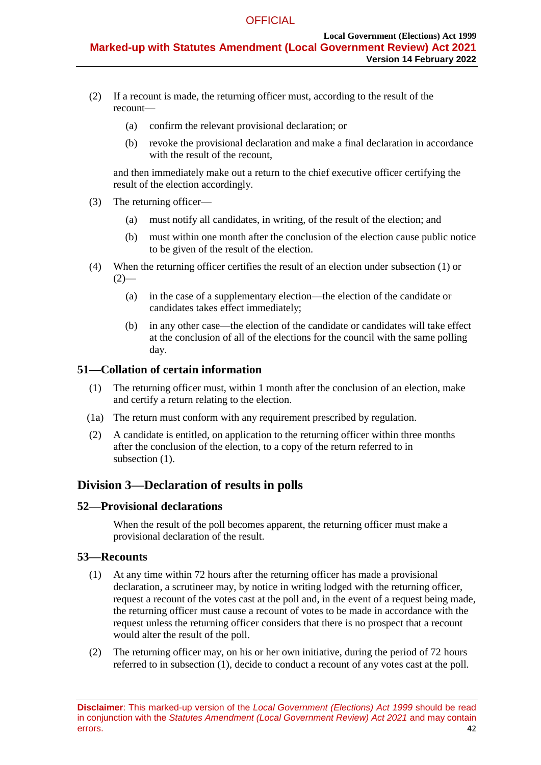- <span id="page-41-0"></span>(2) If a recount is made, the returning officer must, according to the result of the recount—
	- (a) confirm the relevant provisional declaration; or
	- (b) revoke the provisional declaration and make a final declaration in accordance with the result of the recount,

and then immediately make out a return to the chief executive officer certifying the result of the election accordingly.

- (3) The returning officer—
	- (a) must notify all candidates, in writing, of the result of the election; and
	- (b) must within one month after the conclusion of the election cause public notice to be given of the result of the election.
- (4) When the returning officer certifies the result of an election under [subsection](#page-40-1) (1) or  $(2)$ —
	- (a) in the case of a supplementary election—the election of the candidate or candidates takes effect immediately;
	- (b) in any other case—the election of the candidate or candidates will take effect at the conclusion of all of the elections for the council with the same polling day.

# **51—Collation of certain information**

- (1) The returning officer must, within 1 month after the conclusion of an election, make and certify a return relating to the election.
- (1a) The return must conform with any requirement prescribed by regulation.
- (2) A candidate is entitled, on application to the returning officer within three months after the conclusion of the election, to a copy of the return referred to in subsection  $(1)$ .

# **Division 3—Declaration of results in polls**

# **52—Provisional declarations**

When the result of the poll becomes apparent, the returning officer must make a provisional declaration of the result.

# <span id="page-41-1"></span>**53—Recounts**

- (1) At any time within 72 hours after the returning officer has made a provisional declaration, a scrutineer may, by notice in writing lodged with the returning officer, request a recount of the votes cast at the poll and, in the event of a request being made, the returning officer must cause a recount of votes to be made in accordance with the request unless the returning officer considers that there is no prospect that a recount would alter the result of the poll.
- (2) The returning officer may, on his or her own initiative, during the period of 72 hours referred to in [subsection](#page-41-1) (1), decide to conduct a recount of any votes cast at the poll.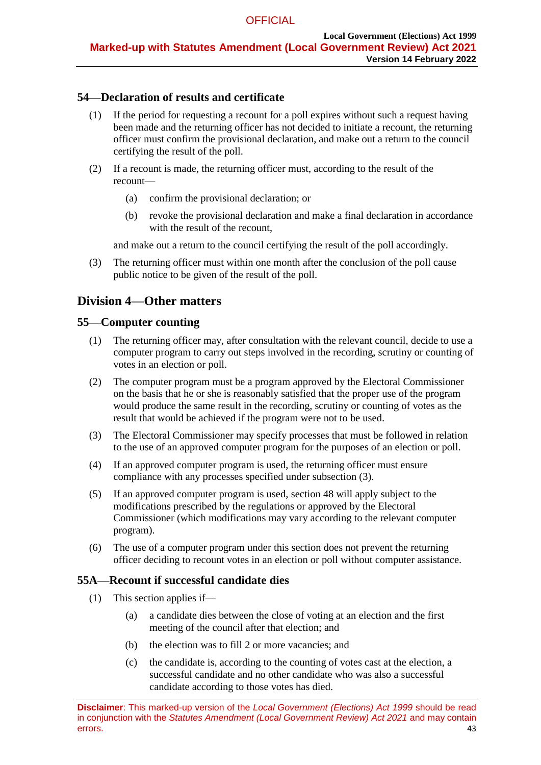# **54—Declaration of results and certificate**

- (1) If the period for requesting a recount for a poll expires without such a request having been made and the returning officer has not decided to initiate a recount, the returning officer must confirm the provisional declaration, and make out a return to the council certifying the result of the poll.
- (2) If a recount is made, the returning officer must, according to the result of the recount—
	- (a) confirm the provisional declaration; or
	- (b) revoke the provisional declaration and make a final declaration in accordance with the result of the recount.

and make out a return to the council certifying the result of the poll accordingly.

(3) The returning officer must within one month after the conclusion of the poll cause public notice to be given of the result of the poll.

# **Division 4—Other matters**

# **55—Computer counting**

- (1) The returning officer may, after consultation with the relevant council, decide to use a computer program to carry out steps involved in the recording, scrutiny or counting of votes in an election or poll.
- (2) The computer program must be a program approved by the Electoral Commissioner on the basis that he or she is reasonably satisfied that the proper use of the program would produce the same result in the recording, scrutiny or counting of votes as the result that would be achieved if the program were not to be used.
- <span id="page-42-0"></span>(3) The Electoral Commissioner may specify processes that must be followed in relation to the use of an approved computer program for the purposes of an election or poll.
- (4) If an approved computer program is used, the returning officer must ensure compliance with any processes specified under [subsection](#page-42-0) (3).
- (5) If an approved computer program is used, [section](#page-35-5) 48 will apply subject to the modifications prescribed by the regulations or approved by the Electoral Commissioner (which modifications may vary according to the relevant computer program).
- (6) The use of a computer program under this section does not prevent the returning officer deciding to recount votes in an election or poll without computer assistance.

# **55A—Recount if successful candidate dies**

- (1) This section applies if—
	- (a) a candidate dies between the close of voting at an election and the first meeting of the council after that election; and
	- (b) the election was to fill 2 or more vacancies; and
	- (c) the candidate is, according to the counting of votes cast at the election, a successful candidate and no other candidate who was also a successful candidate according to those votes has died.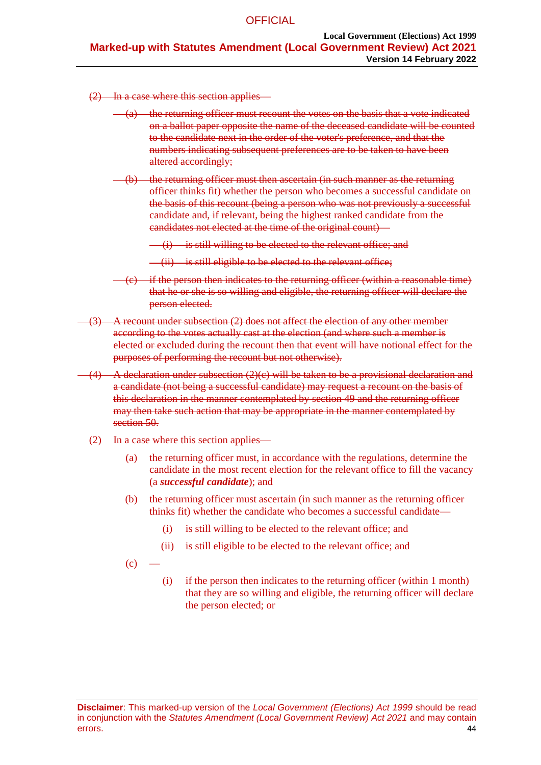<span id="page-43-0"></span>(2) In a case where this section applies—

- $(a)$  the returning officer must recount the votes on the basis that a vote indicated on a ballot paper opposite the name of the deceased candidate will be counted to the candidate next in the order of the voter's preference, and that the numbers indicating subsequent preferences are to be taken to have been altered accordingly;
- (b) the returning officer must then ascertain (in such manner as the returning officer thinks fit) whether the person who becomes a successful candidate on the basis of this recount (being a person who was not previously a successful candidate and, if relevant, being the highest ranked candidate from the candidates not elected at the time of the original count)—
	- (i) is still willing to be elected to the relevant office; and
	- (ii) is still eligible to be elected to the relevant office;
- <span id="page-43-1"></span>if the person then indicates to the returning officer (within a reasonable time) that he or she is so willing and eligible, the returning officer will declare the person elected.
- (3) A recount under [subsection](#page-43-0) (2) does not affect the election of any other member according to the votes actually cast at the election (and where such a member is elected or excluded during the recount then that event will have notional effect for the purposes of performing the recount but not otherwise).
- $\overline{A}$  declaration under [subsection](#page-43-1) (2)(c) will be taken to be a provisional declaration and a candidate (not being a successful candidate) may request a recount on the basis of this declaration in the manner contemplated by [section](#page-40-2) 49 and the returning officer may then take such action that may be appropriate in the manner contemplated by [section](#page-40-3) 50.
	- (2) In a case where this section applies—
		- (a) the returning officer must, in accordance with the regulations, determine the candidate in the most recent election for the relevant office to fill the vacancy (a *successful candidate*); and
		- (b) the returning officer must ascertain (in such manner as the returning officer thinks fit) whether the candidate who becomes a successful candidate—
			- (i) is still willing to be elected to the relevant office; and
			- (ii) is still eligible to be elected to the relevant office; and
		- $(c)$
- (i) if the person then indicates to the returning officer (within 1 month) that they are so willing and eligible, the returning officer will declare the person elected; or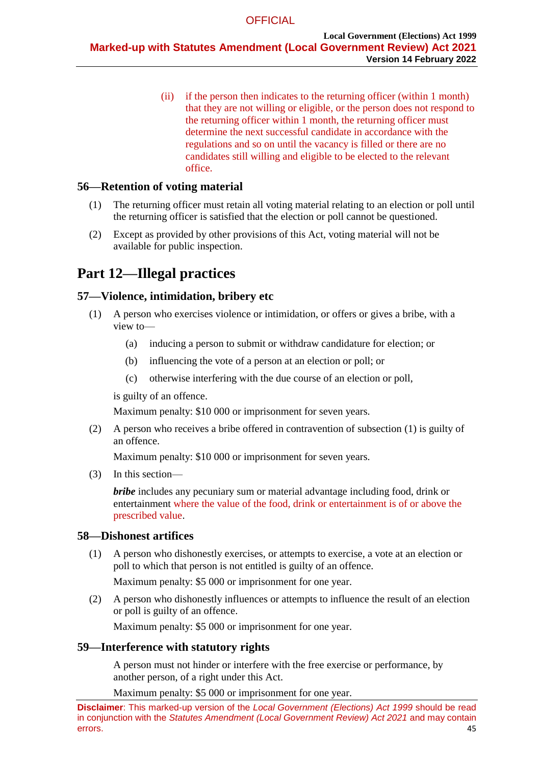(ii) if the person then indicates to the returning officer (within 1 month) that they are not willing or eligible, or the person does not respond to the returning officer within 1 month, the returning officer must determine the next successful candidate in accordance with the regulations and so on until the vacancy is filled or there are no candidates still willing and eligible to be elected to the relevant office.

# **56—Retention of voting material**

- (1) The returning officer must retain all voting material relating to an election or poll until the returning officer is satisfied that the election or poll cannot be questioned.
- (2) Except as provided by other provisions of this Act, voting material will not be available for public inspection.

# **Part 12—Illegal practices**

# <span id="page-44-1"></span><span id="page-44-0"></span>**57—Violence, intimidation, bribery etc**

- (1) A person who exercises violence or intimidation, or offers or gives a bribe, with a view to—
	- (a) inducing a person to submit or withdraw candidature for election; or
	- (b) influencing the vote of a person at an election or poll; or
	- (c) otherwise interfering with the due course of an election or poll,

is guilty of an offence.

Maximum penalty: \$10 000 or imprisonment for seven years.

(2) A person who receives a bribe offered in contravention of [subsection](#page-44-0) (1) is guilty of an offence.

Maximum penalty: \$10 000 or imprisonment for seven years.

(3) In this section—

*bribe* includes any pecuniary sum or material advantage including food, drink or entertainment where the value of the food, drink or entertainment is of or above the prescribed value.

# <span id="page-44-2"></span>**58—Dishonest artifices**

(1) A person who dishonestly exercises, or attempts to exercise, a vote at an election or poll to which that person is not entitled is guilty of an offence.

Maximum penalty: \$5 000 or imprisonment for one year.

(2) A person who dishonestly influences or attempts to influence the result of an election or poll is guilty of an offence.

Maximum penalty: \$5 000 or imprisonment for one year.

# <span id="page-44-3"></span>**59—Interference with statutory rights**

A person must not hinder or interfere with the free exercise or performance, by another person, of a right under this Act.

Maximum penalty: \$5 000 or imprisonment for one year.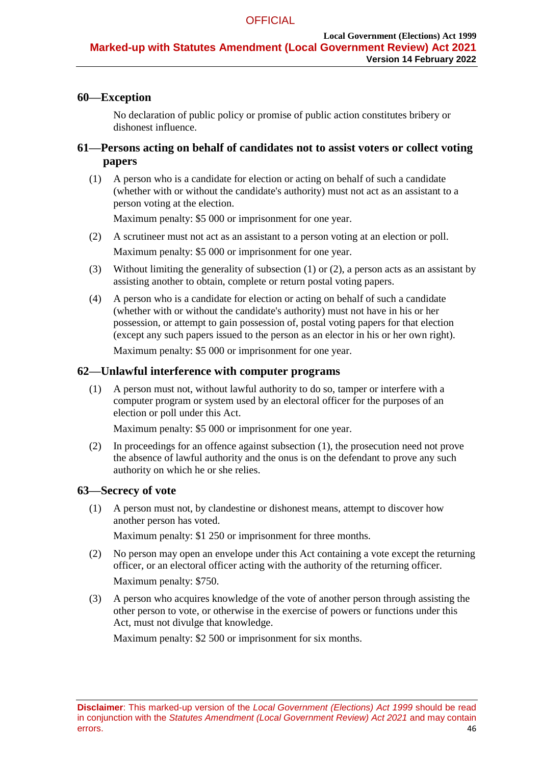# **60—Exception**

No declaration of public policy or promise of public action constitutes bribery or dishonest influence.

# <span id="page-45-0"></span>**61—Persons acting on behalf of candidates not to assist voters or collect voting papers**

<span id="page-45-1"></span>(1) A person who is a candidate for election or acting on behalf of such a candidate (whether with or without the candidate's authority) must not act as an assistant to a person voting at the election.

Maximum penalty: \$5 000 or imprisonment for one year.

- <span id="page-45-2"></span>(2) A scrutineer must not act as an assistant to a person voting at an election or poll. Maximum penalty: \$5 000 or imprisonment for one year.
- (3) Without limiting the generality of [subsection](#page-45-1) (1) or [\(2\),](#page-45-2) a person acts as an assistant by assisting another to obtain, complete or return postal voting papers.
- (4) A person who is a candidate for election or acting on behalf of such a candidate (whether with or without the candidate's authority) must not have in his or her possession, or attempt to gain possession of, postal voting papers for that election (except any such papers issued to the person as an elector in his or her own right).

Maximum penalty: \$5 000 or imprisonment for one year.

### <span id="page-45-3"></span>**62—Unlawful interference with computer programs**

(1) A person must not, without lawful authority to do so, tamper or interfere with a computer program or system used by an electoral officer for the purposes of an election or poll under this Act.

Maximum penalty: \$5 000 or imprisonment for one year.

(2) In proceedings for an offence against [subsection](#page-45-3) (1), the prosecution need not prove the absence of lawful authority and the onus is on the defendant to prove any such authority on which he or she relies.

#### **63—Secrecy of vote**

(1) A person must not, by clandestine or dishonest means, attempt to discover how another person has voted.

Maximum penalty: \$1 250 or imprisonment for three months.

- (2) No person may open an envelope under this Act containing a vote except the returning officer, or an electoral officer acting with the authority of the returning officer. Maximum penalty: \$750.
- (3) A person who acquires knowledge of the vote of another person through assisting the other person to vote, or otherwise in the exercise of powers or functions under this Act, must not divulge that knowledge.

Maximum penalty: \$2 500 or imprisonment for six months.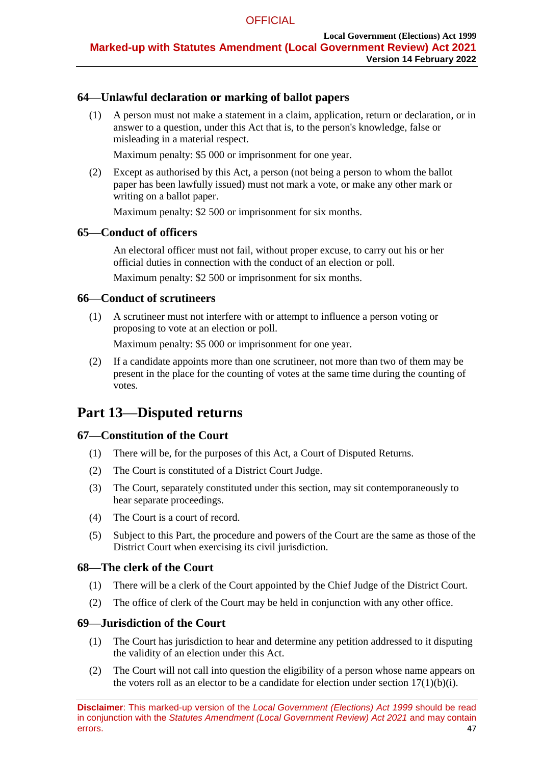# **64—Unlawful declaration or marking of ballot papers**

(1) A person must not make a statement in a claim, application, return or declaration, or in answer to a question, under this Act that is, to the person's knowledge, false or misleading in a material respect.

Maximum penalty: \$5 000 or imprisonment for one year.

(2) Except as authorised by this Act, a person (not being a person to whom the ballot paper has been lawfully issued) must not mark a vote, or make any other mark or writing on a ballot paper.

Maximum penalty: \$2 500 or imprisonment for six months.

# **65—Conduct of officers**

An electoral officer must not fail, without proper excuse, to carry out his or her official duties in connection with the conduct of an election or poll.

Maximum penalty: \$2 500 or imprisonment for six months.

### **66—Conduct of scrutineers**

(1) A scrutineer must not interfere with or attempt to influence a person voting or proposing to vote at an election or poll.

Maximum penalty: \$5 000 or imprisonment for one year.

(2) If a candidate appoints more than one scrutineer, not more than two of them may be present in the place for the counting of votes at the same time during the counting of votes.

# **Part 13—Disputed returns**

# **67—Constitution of the Court**

- (1) There will be, for the purposes of this Act, a Court of Disputed Returns.
- (2) The Court is constituted of a District Court Judge.
- (3) The Court, separately constituted under this section, may sit contemporaneously to hear separate proceedings.
- (4) The Court is a court of record.
- (5) Subject to this Part, the procedure and powers of the Court are the same as those of the District Court when exercising its civil jurisdiction.

#### **68—The clerk of the Court**

- (1) There will be a clerk of the Court appointed by the Chief Judge of the District Court.
- (2) The office of clerk of the Court may be held in conjunction with any other office.

#### **69—Jurisdiction of the Court**

- (1) The Court has jurisdiction to hear and determine any petition addressed to it disputing the validity of an election under this Act.
- (2) The Court will not call into question the eligibility of a person whose name appears on the voters roll as an elector to be a candidate for election under section  $17(1)(b)(i)$ .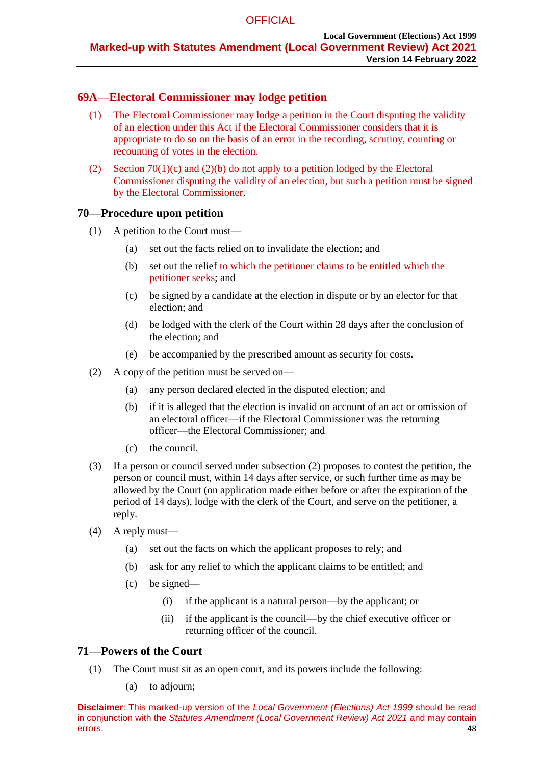# **69A—Electoral Commissioner may lodge petition**

- (1) The Electoral Commissioner may lodge a petition in the Court disputing the validity of an election under this Act if the Electoral Commissioner considers that it is appropriate to do so on the basis of an error in the recording, scrutiny, counting or recounting of votes in the election.
- (2) Section 70(1)(c) and (2)(b) do not apply to a petition lodged by the Electoral Commissioner disputing the validity of an election, but such a petition must be signed by the Electoral Commissioner.

# **70—Procedure upon petition**

- (1) A petition to the Court must—
	- (a) set out the facts relied on to invalidate the election; and
	- (b) set out the relief to which the petitioner claims to be entitled which the petitioner seeks; and
	- (c) be signed by a candidate at the election in dispute or by an elector for that election; and
	- (d) be lodged with the clerk of the Court within 28 days after the conclusion of the election; and
	- (e) be accompanied by the prescribed amount as security for costs.
- <span id="page-47-0"></span>(2) A copy of the petition must be served on—
	- (a) any person declared elected in the disputed election; and
	- (b) if it is alleged that the election is invalid on account of an act or omission of an electoral officer—if the Electoral Commissioner was the returning officer—the Electoral Commissioner; and
	- (c) the council.
- (3) If a person or council served under [subsection](#page-47-0) (2) proposes to contest the petition, the person or council must, within 14 days after service, or such further time as may be allowed by the Court (on application made either before or after the expiration of the period of 14 days), lodge with the clerk of the Court, and serve on the petitioner, a reply.
- (4) A reply must—
	- (a) set out the facts on which the applicant proposes to rely; and
	- (b) ask for any relief to which the applicant claims to be entitled; and
	- (c) be signed—
		- (i) if the applicant is a natural person—by the applicant; or
		- (ii) if the applicant is the council—by the chief executive officer or returning officer of the council.

#### **71—Powers of the Court**

- (1) The Court must sit as an open court, and its powers include the following:
	- (a) to adjourn;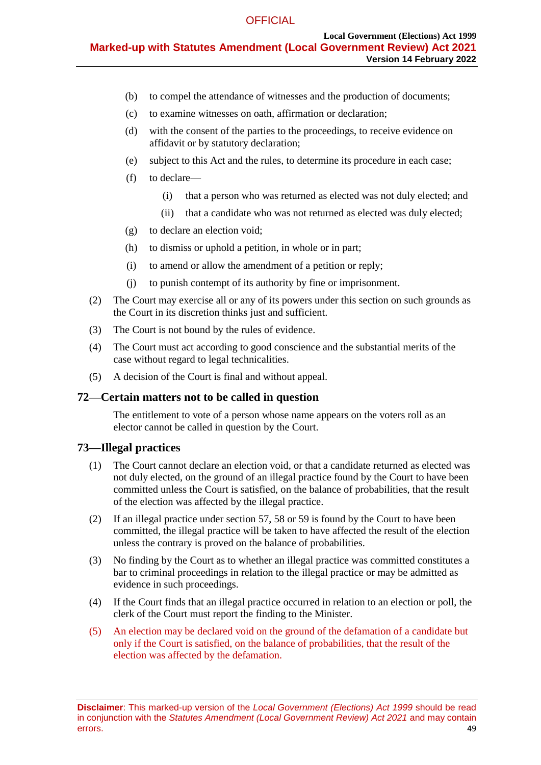- (b) to compel the attendance of witnesses and the production of documents;
- (c) to examine witnesses on oath, affirmation or declaration;
- (d) with the consent of the parties to the proceedings, to receive evidence on affidavit or by statutory declaration;
- (e) subject to this Act and the rules, to determine its procedure in each case;
- (f) to declare—
	- (i) that a person who was returned as elected was not duly elected; and
	- (ii) that a candidate who was not returned as elected was duly elected;
- (g) to declare an election void;
- (h) to dismiss or uphold a petition, in whole or in part;
- (i) to amend or allow the amendment of a petition or reply;
- (j) to punish contempt of its authority by fine or imprisonment.
- (2) The Court may exercise all or any of its powers under this section on such grounds as the Court in its discretion thinks just and sufficient.
- (3) The Court is not bound by the rules of evidence.
- (4) The Court must act according to good conscience and the substantial merits of the case without regard to legal technicalities.
- (5) A decision of the Court is final and without appeal.

#### **72—Certain matters not to be called in question**

The entitlement to vote of a person whose name appears on the voters roll as an elector cannot be called in question by the Court.

#### **73—Illegal practices**

- (1) The Court cannot declare an election void, or that a candidate returned as elected was not duly elected, on the ground of an illegal practice found by the Court to have been committed unless the Court is satisfied, on the balance of probabilities, that the result of the election was affected by the illegal practice.
- (2) If an illegal practice under [section](#page-44-1) 57, [58](#page-44-2) or [59](#page-44-3) is found by the Court to have been committed, the illegal practice will be taken to have affected the result of the election unless the contrary is proved on the balance of probabilities.
- (3) No finding by the Court as to whether an illegal practice was committed constitutes a bar to criminal proceedings in relation to the illegal practice or may be admitted as evidence in such proceedings.
- (4) If the Court finds that an illegal practice occurred in relation to an election or poll, the clerk of the Court must report the finding to the Minister.
- (5) An election may be declared void on the ground of the defamation of a candidate but only if the Court is satisfied, on the balance of probabilities, that the result of the election was affected by the defamation.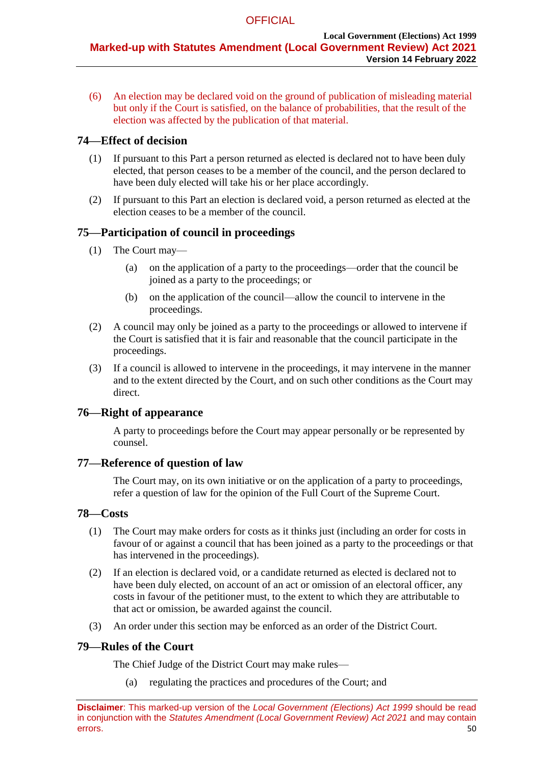(6) An election may be declared void on the ground of publication of misleading material but only if the Court is satisfied, on the balance of probabilities, that the result of the election was affected by the publication of that material.

# **74—Effect of decision**

- (1) If pursuant to this Part a person returned as elected is declared not to have been duly elected, that person ceases to be a member of the council, and the person declared to have been duly elected will take his or her place accordingly.
- (2) If pursuant to this Part an election is declared void, a person returned as elected at the election ceases to be a member of the council.

# **75—Participation of council in proceedings**

- (1) The Court may—
	- (a) on the application of a party to the proceedings—order that the council be joined as a party to the proceedings; or
	- (b) on the application of the council—allow the council to intervene in the proceedings.
- (2) A council may only be joined as a party to the proceedings or allowed to intervene if the Court is satisfied that it is fair and reasonable that the council participate in the proceedings.
- (3) If a council is allowed to intervene in the proceedings, it may intervene in the manner and to the extent directed by the Court, and on such other conditions as the Court may direct.

# **76—Right of appearance**

A party to proceedings before the Court may appear personally or be represented by counsel.

# **77—Reference of question of law**

The Court may, on its own initiative or on the application of a party to proceedings, refer a question of law for the opinion of the Full Court of the Supreme Court.

# **78—Costs**

- (1) The Court may make orders for costs as it thinks just (including an order for costs in favour of or against a council that has been joined as a party to the proceedings or that has intervened in the proceedings).
- (2) If an election is declared void, or a candidate returned as elected is declared not to have been duly elected, on account of an act or omission of an electoral officer, any costs in favour of the petitioner must, to the extent to which they are attributable to that act or omission, be awarded against the council.
- (3) An order under this section may be enforced as an order of the District Court.

# **79—Rules of the Court**

The Chief Judge of the District Court may make rules—

(a) regulating the practices and procedures of the Court; and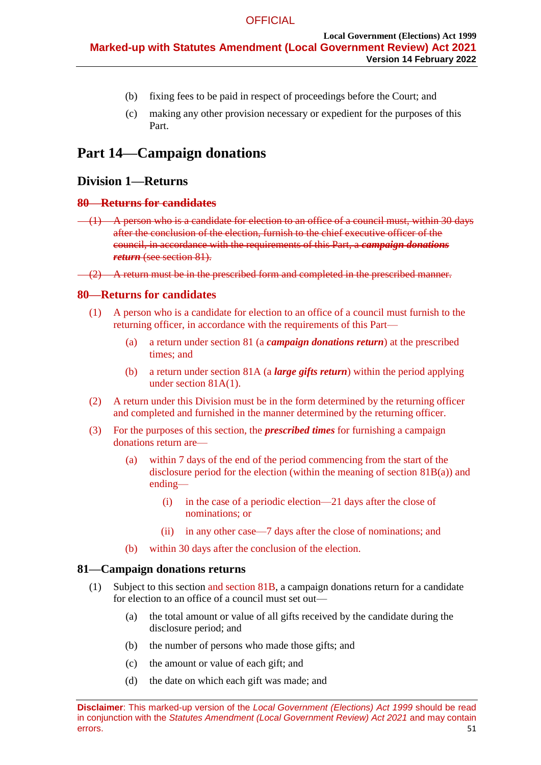- (b) fixing fees to be paid in respect of proceedings before the Court; and
- (c) making any other provision necessary or expedient for the purposes of this Part.

# <span id="page-50-0"></span>**Part 14—Campaign donations**

# <span id="page-50-3"></span>**Division 1—Returns**

#### **80—Returns for candidates**

 $(1)$  A person who is a candidate for election to an office of a council must, within 30 days after the conclusion of the election, furnish to the chief executive officer of the council, in accordance with the requirements of this Part, a *campaign donations return* (see [section](#page-50-1) 81).

 $\left(2\right)$  A return must be in the prescribed form and completed in the prescribed manner.

## <span id="page-50-1"></span>**80—Returns for candidates**

- (1) A person who is a candidate for election to an office of a council must furnish to the returning officer, in accordance with the requirements of this Part—
	- (a) a return under section 81 (a *campaign donations return*) at the prescribed times; and
	- (b) a return under section 81A (a *large gifts return*) within the period applying under section 81A(1).
- (2) A return under this Division must be in the form determined by the returning officer and completed and furnished in the manner determined by the returning officer.
- (3) For the purposes of this section, the *prescribed times* for furnishing a campaign donations return are—
	- (a) within 7 days of the end of the period commencing from the start of the disclosure period for the election (within the meaning of section 81B(a)) and ending—
		- (i) in the case of a periodic election—21 days after the close of nominations; or
		- (ii) in any other case—7 days after the close of nominations; and
	- (b) within 30 days after the conclusion of the election.

#### <span id="page-50-2"></span>**81—Campaign donations returns**

- (1) Subject to this section and section 81B, a campaign donations return for a candidate for election to an office of a council must set out—
	- (a) the total amount or value of all gifts received by the candidate during the disclosure period; and
	- (b) the number of persons who made those gifts; and
	- (c) the amount or value of each gift; and
	- (d) the date on which each gift was made; and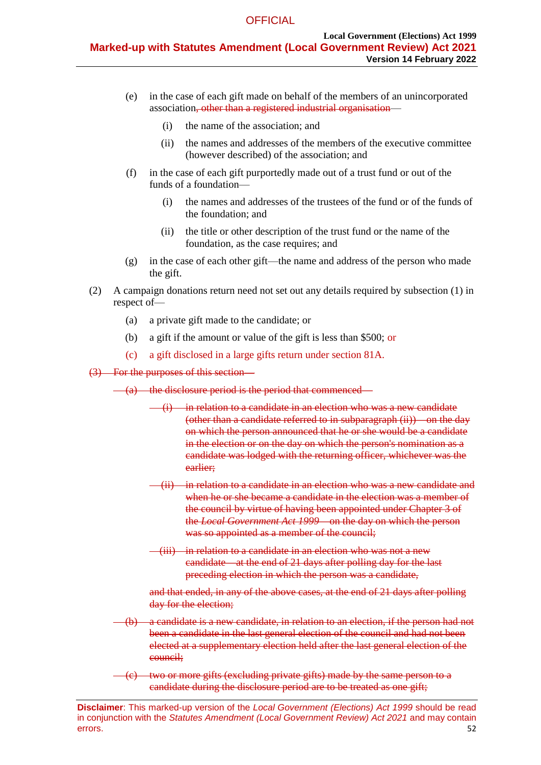- (e) in the case of each gift made on behalf of the members of an unincorporated association, other than a registered industrial organisation—
	- (i) the name of the association; and
	- (ii) the names and addresses of the members of the executive committee (however described) of the association; and
- (f) in the case of each gift purportedly made out of a trust fund or out of the funds of a foundation—
	- (i) the names and addresses of the trustees of the fund or of the funds of the foundation; and
	- (ii) the title or other description of the trust fund or the name of the foundation, as the case requires; and
- (g) in the case of each other gift—the name and address of the person who made the gift.
- (2) A campaign donations return need not set out any details required by [subsection](#page-50-2) (1) in respect of—
	- (a) a private gift made to the candidate; or
	- (b) a gift if the amount or value of the gift is less than \$500; or
	- (c) a gift disclosed in a large gifts return under section 81A.

#### (3) For the purposes of this section—

- <span id="page-51-0"></span>(a) the disclosure period is the period that commenced—
	- (i) in relation to a candidate in an election who was a new candidate (other than a candidate referred to in [subparagraph](#page-51-0) (ii))—on the day on which the person announced that he or she would be a candidate in the election or on the day on which the person's nomination as a candidate was lodged with the returning officer, whichever was the earlier;
	- (ii) in relation to a candidate in an election who was a new candidate and when he or she became a candidate in the election was a member of the council by virtue of having been appointed under Chapter 3 of the *[Local Government Act](http://www.legislation.sa.gov.au/index.aspx?action=legref&type=act&legtitle=Local%20Government%20Act%201999) 1999*—on the day on which the person was so appointed as a member of the council;
	- (iii) in relation to a candidate in an election who was not a new candidate—at the end of 21 days after polling day for the last preceding election in which the person was a candidate,

and that ended, in any of the above cases, at the end of 21 days after polling day for the election;

- (b) a candidate is a new candidate, in relation to an election, if the person had not been a candidate in the last general election of the council and had not been elected at a supplementary election held after the last general election of the council;
- two or more gifts (excluding private gifts) made by the same person to a candidate during the disclosure period are to be treated as one gift;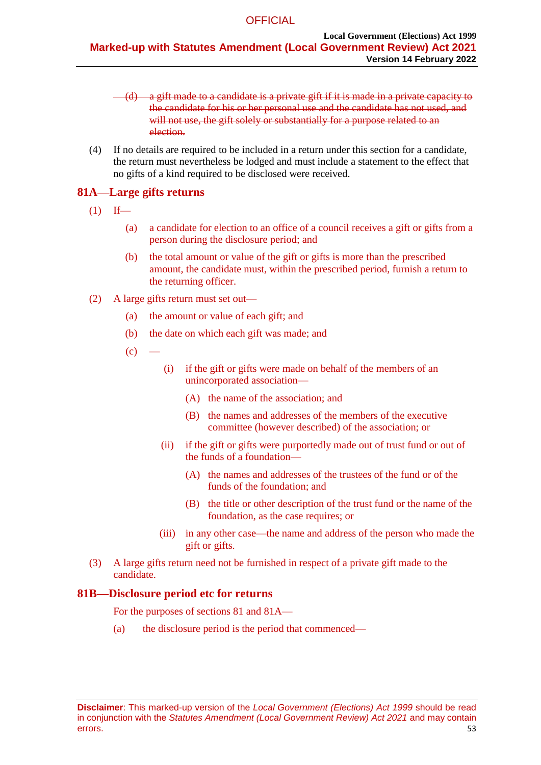$(d)$  a gift made to a candidate is a private gift if it is made in a private capacity to the candidate for his or her personal use and the candidate has not used, and will not use, the gift solely or substantially for a purpose related to an election.

(4) If no details are required to be included in a return under this section for a candidate, the return must nevertheless be lodged and must include a statement to the effect that no gifts of a kind required to be disclosed were received.

# **81A—Large gifts returns**

- $(1)$  If—
	- (a) a candidate for election to an office of a council receives a gift or gifts from a person during the disclosure period; and
	- (b) the total amount or value of the gift or gifts is more than the prescribed amount, the candidate must, within the prescribed period, furnish a return to the returning officer.
- (2) A large gifts return must set out—
	- (a) the amount or value of each gift; and
	- (b) the date on which each gift was made; and
	- $(c)$
- (i) if the gift or gifts were made on behalf of the members of an unincorporated association—
	- (A) the name of the association; and
	- (B) the names and addresses of the members of the executive committee (however described) of the association; or
- (ii) if the gift or gifts were purportedly made out of trust fund or out of the funds of a foundation—
	- (A) the names and addresses of the trustees of the fund or of the funds of the foundation; and
	- (B) the title or other description of the trust fund or the name of the foundation, as the case requires; or
- (iii) in any other case—the name and address of the person who made the gift or gifts.
- (3) A large gifts return need not be furnished in respect of a private gift made to the candidate.

# **81B—Disclosure period etc for returns**

For the purposes of sections 81 and 81A—

(a) the disclosure period is the period that commenced—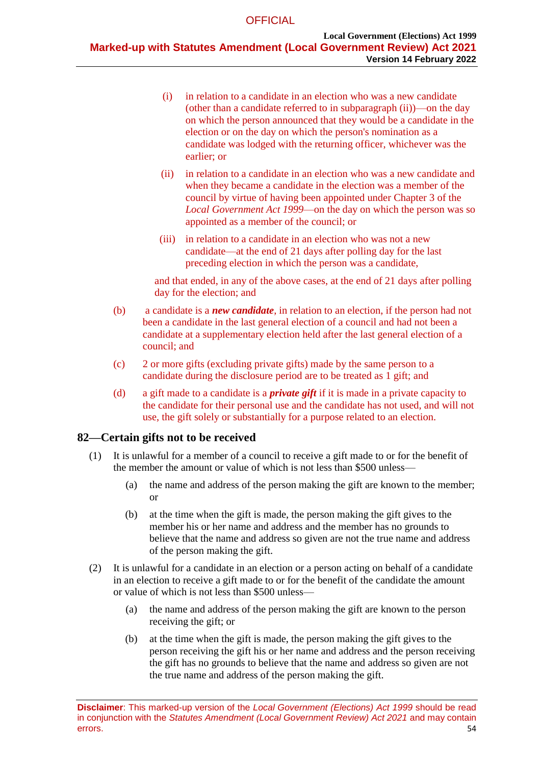- (i) in relation to a candidate in an election who was a new candidate (other than a candidate referred to in subparagraph (ii))—on the day on which the person announced that they would be a candidate in the election or on the day on which the person's nomination as a candidate was lodged with the returning officer, whichever was the earlier; or
- (ii) in relation to a candidate in an election who was a new candidate and when they became a candidate in the election was a member of the council by virtue of having been appointed under Chapter 3 of the *Local Government Act 1999*—on the day on which the person was so appointed as a member of the council; or
- (iii) in relation to a candidate in an election who was not a new candidate—at the end of 21 days after polling day for the last preceding election in which the person was a candidate,

and that ended, in any of the above cases, at the end of 21 days after polling day for the election; and

- (b) a candidate is a *new candidate*, in relation to an election, if the person had not been a candidate in the last general election of a council and had not been a candidate at a supplementary election held after the last general election of a council; and
- (c) 2 or more gifts (excluding private gifts) made by the same person to a candidate during the disclosure period are to be treated as 1 gift; and
- (d) a gift made to a candidate is a *private gift* if it is made in a private capacity to the candidate for their personal use and the candidate has not used, and will not use, the gift solely or substantially for a purpose related to an election.

# **82—Certain gifts not to be received**

- (1) It is unlawful for a member of a council to receive a gift made to or for the benefit of the member the amount or value of which is not less than \$500 unless—
	- (a) the name and address of the person making the gift are known to the member; or
	- (b) at the time when the gift is made, the person making the gift gives to the member his or her name and address and the member has no grounds to believe that the name and address so given are not the true name and address of the person making the gift.
- (2) It is unlawful for a candidate in an election or a person acting on behalf of a candidate in an election to receive a gift made to or for the benefit of the candidate the amount or value of which is not less than \$500 unless—
	- (a) the name and address of the person making the gift are known to the person receiving the gift; or
	- (b) at the time when the gift is made, the person making the gift gives to the person receiving the gift his or her name and address and the person receiving the gift has no grounds to believe that the name and address so given are not the true name and address of the person making the gift.

**Disclaimer**: This marked-up version of the *Local Government (Elections) Act 1999* should be read in conjunction with the *Statutes Amendment (Local Government Review) Act 2021* and may contain errors. 54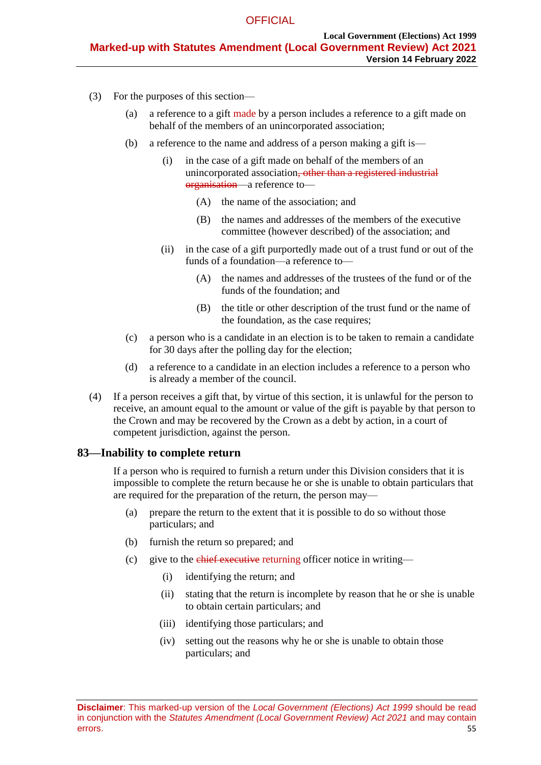- (3) For the purposes of this section—
	- (a) a reference to a gift made by a person includes a reference to a gift made on behalf of the members of an unincorporated association;
	- (b) a reference to the name and address of a person making a gift is—
		- (i) in the case of a gift made on behalf of the members of an unincorporated association, other than a registered industrial organisation—a reference to—
			- (A) the name of the association; and
			- (B) the names and addresses of the members of the executive committee (however described) of the association; and
		- (ii) in the case of a gift purportedly made out of a trust fund or out of the funds of a foundation—a reference to—
			- (A) the names and addresses of the trustees of the fund or of the funds of the foundation; and
			- (B) the title or other description of the trust fund or the name of the foundation, as the case requires;
	- (c) a person who is a candidate in an election is to be taken to remain a candidate for 30 days after the polling day for the election;
	- (d) a reference to a candidate in an election includes a reference to a person who is already a member of the council.
- (4) If a person receives a gift that, by virtue of this section, it is unlawful for the person to receive, an amount equal to the amount or value of the gift is payable by that person to the Crown and may be recovered by the Crown as a debt by action, in a court of competent jurisdiction, against the person.

# **83—Inability to complete return**

If a person who is required to furnish a return under this Division considers that it is impossible to complete the return because he or she is unable to obtain particulars that are required for the preparation of the return, the person may—

- (a) prepare the return to the extent that it is possible to do so without those particulars; and
- (b) furnish the return so prepared; and
- (c) give to the chief executive returning officer notice in writing—
	- (i) identifying the return; and
	- (ii) stating that the return is incomplete by reason that he or she is unable to obtain certain particulars; and
	- (iii) identifying those particulars; and
	- (iv) setting out the reasons why he or she is unable to obtain those particulars; and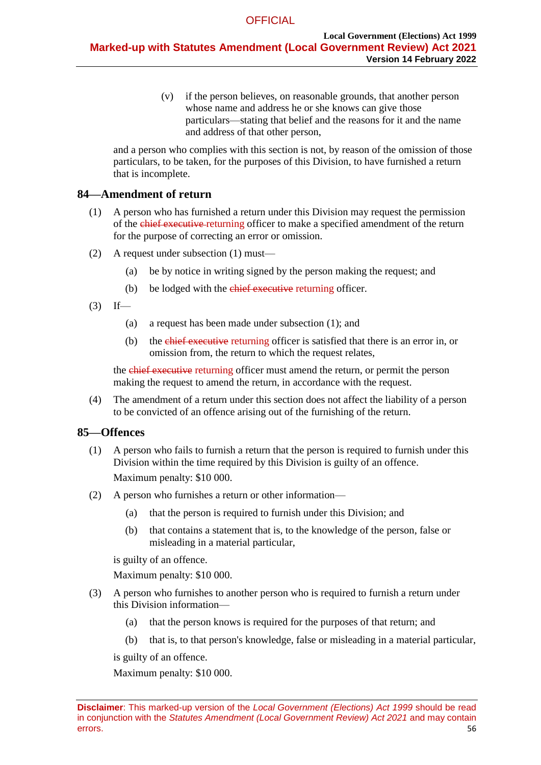(v) if the person believes, on reasonable grounds, that another person whose name and address he or she knows can give those particulars—stating that belief and the reasons for it and the name and address of that other person,

and a person who complies with this section is not, by reason of the omission of those particulars, to be taken, for the purposes of this Division, to have furnished a return that is incomplete.

### <span id="page-55-0"></span>**84—Amendment of return**

- (1) A person who has furnished a return under this Division may request the permission of the chief executive returning officer to make a specified amendment of the return for the purpose of correcting an error or omission.
- (2) A request under [subsection](#page-55-0) (1) must—
	- (a) be by notice in writing signed by the person making the request; and
	- (b) be lodged with the chief executive returning officer.
- $(3)$  If—
	- (a) a request has been made under [subsection](#page-55-0) (1); and
	- (b) the chief executive returning officer is satisfied that there is an error in, or omission from, the return to which the request relates,

the chief executive returning officer must amend the return, or permit the person making the request to amend the return, in accordance with the request.

(4) The amendment of a return under this section does not affect the liability of a person to be convicted of an offence arising out of the furnishing of the return.

#### **85—Offences**

- (1) A person who fails to furnish a return that the person is required to furnish under this Division within the time required by this Division is guilty of an offence. Maximum penalty: \$10 000.
- (2) A person who furnishes a return or other information—
	- (a) that the person is required to furnish under this Division; and
	- (b) that contains a statement that is, to the knowledge of the person, false or misleading in a material particular,

is guilty of an offence.

Maximum penalty: \$10 000.

- (3) A person who furnishes to another person who is required to furnish a return under this Division information—
	- (a) that the person knows is required for the purposes of that return; and
	- (b) that is, to that person's knowledge, false or misleading in a material particular,

is guilty of an offence.

Maximum penalty: \$10 000.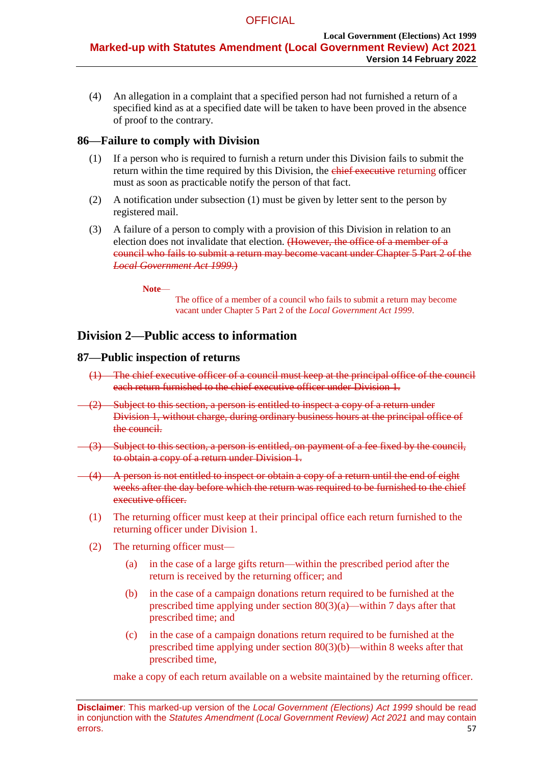(4) An allegation in a complaint that a specified person had not furnished a return of a specified kind as at a specified date will be taken to have been proved in the absence of proof to the contrary.

# <span id="page-56-0"></span>**86—Failure to comply with Division**

- (1) If a person who is required to furnish a return under this Division fails to submit the return within the time required by this Division, the chief executive returning officer must as soon as practicable notify the person of that fact.
- (2) A notification under [subsection](#page-56-0) (1) must be given by letter sent to the person by registered mail.
- (3) A failure of a person to comply with a provision of this Division in relation to an election does not invalidate that election. (However, the office of a member of a council who fails to submit a return may become vacant under Chapter 5 Part 2 of the *[Local Government Act](http://www.legislation.sa.gov.au/index.aspx?action=legref&type=act&legtitle=Local%20Government%20Act%201999) 1999*.)

**Note**—

The office of a member of a council who fails to submit a return may become vacant under Chapter 5 Part 2 of the *Local Government Act 1999*.

# **Division 2—Public access to information**

# **87—Public inspection of returns**

- (1) The chief executive officer of a council must keep at the principal office of the council each return furnished to the chief executive officer under [Division 1.](#page-50-3)
- (2) Subject to this section, a person is entitled to inspect a copy of a return under [Division](#page-50-3) 1, without charge, during ordinary business hours at the principal office of the council.
- (3) Subject to this section, a person is entitled, on payment of a fee fixed by the council, to obtain a copy of a return under [Division 1.](#page-50-3)
- (4) A person is not entitled to inspect or obtain a copy of a return until the end of eight weeks after the day before which the return was required to be furnished to the chief executive officer.
- (1) The returning officer must keep at their principal office each return furnished to the returning officer under Division 1.
- (2) The returning officer must—
	- (a) in the case of a large gifts return—within the prescribed period after the return is received by the returning officer; and
	- (b) in the case of a campaign donations return required to be furnished at the prescribed time applying under section  $80(3)(a)$ —within 7 days after that prescribed time; and
	- (c) in the case of a campaign donations return required to be furnished at the prescribed time applying under section 80(3)(b)—within 8 weeks after that prescribed time,

make a copy of each return available on a website maintained by the returning officer.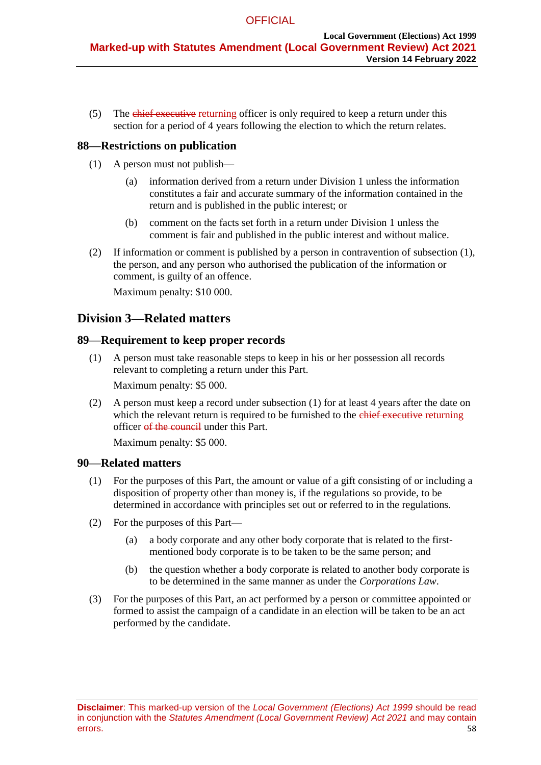(5) The chief executive returning officer is only required to keep a return under this section for a period of 4 years following the election to which the return relates.

# <span id="page-57-0"></span>**88—Restrictions on publication**

- (1) A person must not publish—
	- (a) information derived from a return under [Division 1](#page-50-3) unless the information constitutes a fair and accurate summary of the information contained in the return and is published in the public interest; or
	- (b) comment on the facts set forth in a return under [Division 1](#page-50-3) unless the comment is fair and published in the public interest and without malice.
- (2) If information or comment is published by a person in contravention of [subsection](#page-57-0) (1), the person, and any person who authorised the publication of the information or comment, is guilty of an offence.

Maximum penalty: \$10 000.

# **Division 3—Related matters**

### <span id="page-57-1"></span>**89—Requirement to keep proper records**

(1) A person must take reasonable steps to keep in his or her possession all records relevant to completing a return under this Part.

Maximum penalty: \$5 000.

(2) A person must keep a record under [subsection](#page-57-1) (1) for at least 4 years after the date on which the relevant return is required to be furnished to the chief executive returning officer of the council under this Part.

Maximum penalty: \$5 000.

# **90—Related matters**

- (1) For the purposes of this Part, the amount or value of a gift consisting of or including a disposition of property other than money is, if the regulations so provide, to be determined in accordance with principles set out or referred to in the regulations.
- (2) For the purposes of this Part—
	- (a) a body corporate and any other body corporate that is related to the firstmentioned body corporate is to be taken to be the same person; and
	- (b) the question whether a body corporate is related to another body corporate is to be determined in the same manner as under the *Corporations Law*.
- (3) For the purposes of this Part, an act performed by a person or committee appointed or formed to assist the campaign of a candidate in an election will be taken to be an act performed by the candidate.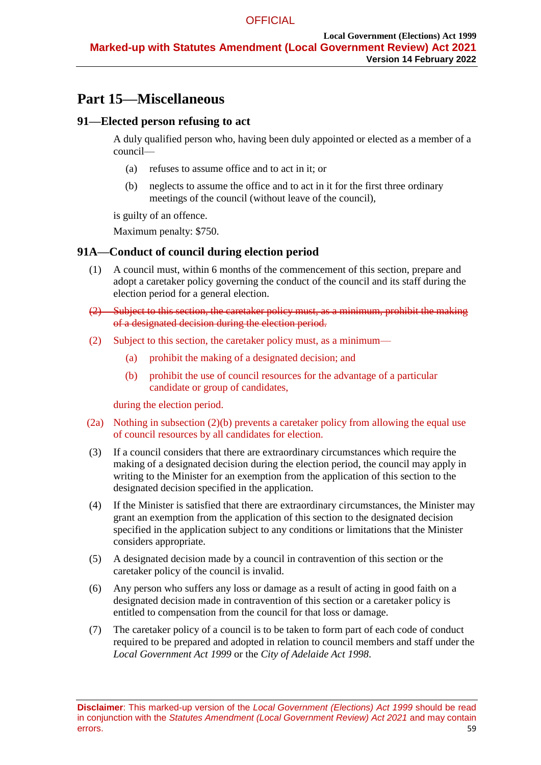# **Part 15—Miscellaneous**

# **91—Elected person refusing to act**

A duly qualified person who, having been duly appointed or elected as a member of a council—

- (a) refuses to assume office and to act in it; or
- (b) neglects to assume the office and to act in it for the first three ordinary meetings of the council (without leave of the council),

is guilty of an offence.

Maximum penalty: \$750.

# **91A—Conduct of council during election period**

- (1) A council must, within 6 months of the commencement of this section, prepare and adopt a caretaker policy governing the conduct of the council and its staff during the election period for a general election.
- (2) Subject to this section, the caretaker policy must, as a minimum, prohibit the making of a designated decision during the election period.
- (2) Subject to this section, the caretaker policy must, as a minimum—
	- (a) prohibit the making of a designated decision; and
	- (b) prohibit the use of council resources for the advantage of a particular candidate or group of candidates,

during the election period.

- (2a) Nothing in subsection (2)(b) prevents a caretaker policy from allowing the equal use of council resources by all candidates for election.
- (3) If a council considers that there are extraordinary circumstances which require the making of a designated decision during the election period, the council may apply in writing to the Minister for an exemption from the application of this section to the designated decision specified in the application.
- (4) If the Minister is satisfied that there are extraordinary circumstances, the Minister may grant an exemption from the application of this section to the designated decision specified in the application subject to any conditions or limitations that the Minister considers appropriate.
- (5) A designated decision made by a council in contravention of this section or the caretaker policy of the council is invalid.
- (6) Any person who suffers any loss or damage as a result of acting in good faith on a designated decision made in contravention of this section or a caretaker policy is entitled to compensation from the council for that loss or damage.
- (7) The caretaker policy of a council is to be taken to form part of each code of conduct required to be prepared and adopted in relation to council members and staff under the *[Local Government Act](http://www.legislation.sa.gov.au/index.aspx?action=legref&type=act&legtitle=Local%20Government%20Act%201999) 1999* or the *[City of Adelaide Act](http://www.legislation.sa.gov.au/index.aspx?action=legref&type=act&legtitle=City%20of%20Adelaide%20Act%201998) 1998*.

**Disclaimer**: This marked-up version of the *Local Government (Elections) Act 1999* should be read in conjunction with the *Statutes Amendment (Local Government Review) Act 2021* and may contain errors. 59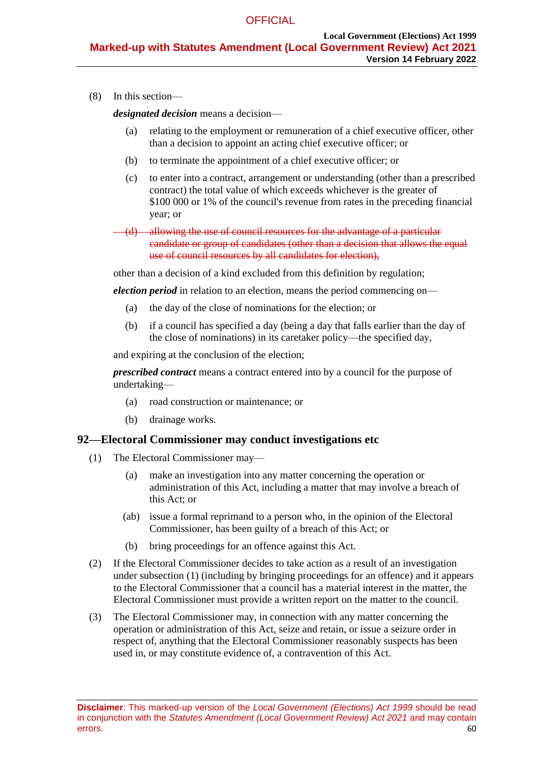(8) In this section—

*designated decision* means a decision—

- (a) relating to the employment or remuneration of a chief executive officer, other than a decision to appoint an acting chief executive officer; or
- (b) to terminate the appointment of a chief executive officer; or
- (c) to enter into a contract, arrangement or understanding (other than a prescribed contract) the total value of which exceeds whichever is the greater of \$100 000 or 1% of the council's revenue from rates in the preceding financial year; or
- (d) allowing the use of council resources for the advantage of a particular candidate or group of candidates (other than a decision that allows the equal use of council resources by all candidates for election),

other than a decision of a kind excluded from this definition by regulation;

*election period* in relation to an election, means the period commencing on—

- (a) the day of the close of nominations for the election; or
- (b) if a council has specified a day (being a day that falls earlier than the day of the close of nominations) in its caretaker policy—the specified day,

and expiring at the conclusion of the election;

*prescribed contract* means a contract entered into by a council for the purpose of undertaking—

- (a) road construction or maintenance; or
- (b) drainage works.

#### <span id="page-59-0"></span>**92—Electoral Commissioner may conduct investigations etc**

- (1) The Electoral Commissioner may—
	- (a) make an investigation into any matter concerning the operation or administration of this Act, including a matter that may involve a breach of this Act; or
	- (ab) issue a formal reprimand to a person who, in the opinion of the Electoral Commissioner, has been guilty of a breach of this Act; or
	- (b) bring proceedings for an offence against this Act.
- (2) If the Electoral Commissioner decides to take action as a result of an investigation under [subsection](#page-59-0) (1) (including by bringing proceedings for an offence) and it appears to the Electoral Commissioner that a council has a material interest in the matter, the Electoral Commissioner must provide a written report on the matter to the council.
- (3) The Electoral Commissioner may, in connection with any matter concerning the operation or administration of this Act, seize and retain, or issue a seizure order in respect of, anything that the Electoral Commissioner reasonably suspects has been used in, or may constitute evidence of, a contravention of this Act.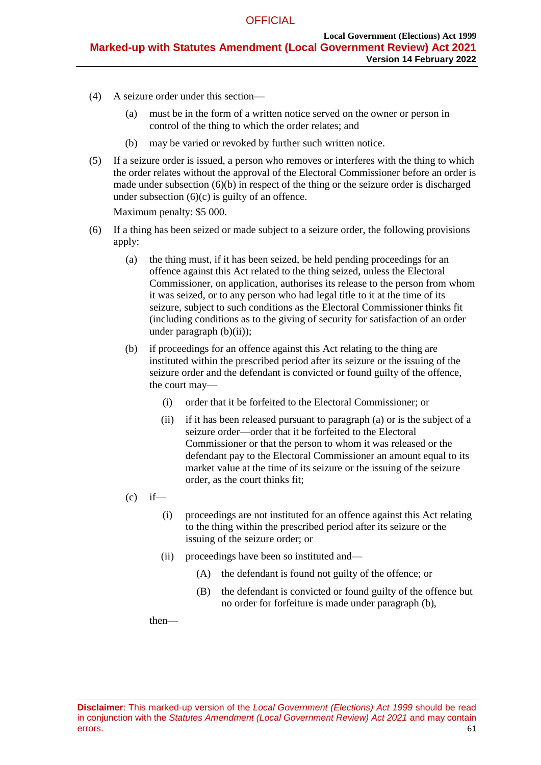- (4) A seizure order under this section—
	- (a) must be in the form of a written notice served on the owner or person in control of the thing to which the order relates; and
	- (b) may be varied or revoked by further such written notice.
- (5) If a seizure order is issued, a person who removes or interferes with the thing to which the order relates without the approval of the Electoral Commissioner before an order is made under [subsection](#page-60-0)  $(6)(b)$  in respect of the thing or the seizure order is discharged under [subsection](#page-60-1)  $(6)(c)$  is guilty of an offence.

Maximum penalty: \$5 000.

- <span id="page-60-4"></span><span id="page-60-3"></span><span id="page-60-2"></span><span id="page-60-0"></span>(6) If a thing has been seized or made subject to a seizure order, the following provisions apply:
	- (a) the thing must, if it has been seized, be held pending proceedings for an offence against this Act related to the thing seized, unless the Electoral Commissioner, on application, authorises its release to the person from whom it was seized, or to any person who had legal title to it at the time of its seizure, subject to such conditions as the Electoral Commissioner thinks fit (including conditions as to the giving of security for satisfaction of an order under [paragraph](#page-60-2)  $(b)(ii)$ ;
	- (b) if proceedings for an offence against this Act relating to the thing are instituted within the prescribed period after its seizure or the issuing of the seizure order and the defendant is convicted or found guilty of the offence, the court may—
		- (i) order that it be forfeited to the Electoral Commissioner; or
		- (ii) if it has been released pursuant to [paragraph](#page-60-3) (a) or is the subject of a seizure order—order that it be forfeited to the Electoral Commissioner or that the person to whom it was released or the defendant pay to the Electoral Commissioner an amount equal to its market value at the time of its seizure or the issuing of the seizure order, as the court thinks fit;
	- $(c)$  if—
		- (i) proceedings are not instituted for an offence against this Act relating to the thing within the prescribed period after its seizure or the issuing of the seizure order; or
		- (ii) proceedings have been so instituted and—
			- (A) the defendant is found not guilty of the offence; or
			- (B) the defendant is convicted or found guilty of the offence but no order for forfeiture is made under [paragraph](#page-60-0) (b),

<span id="page-60-1"></span>then—